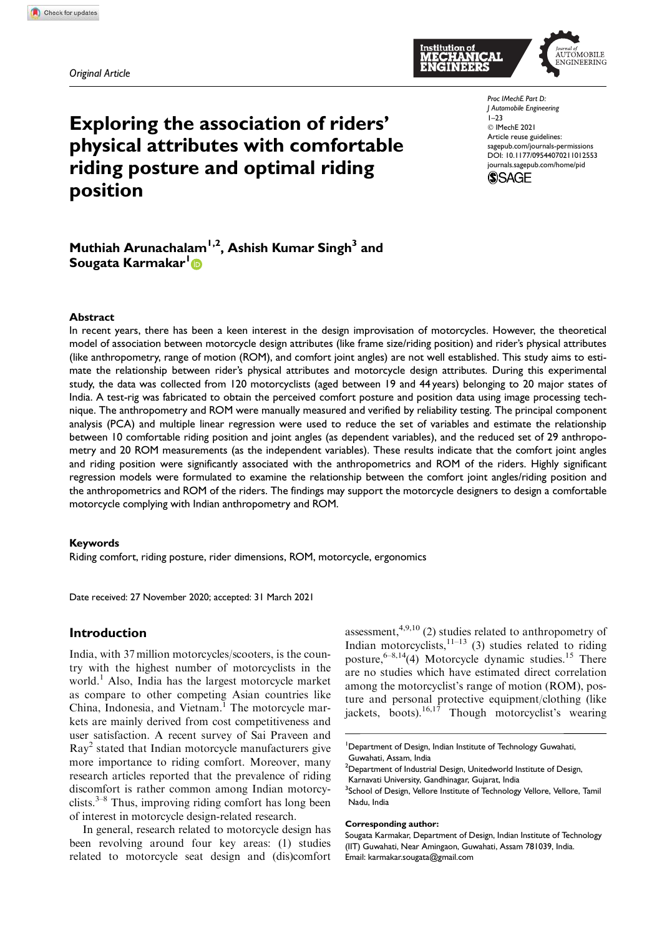*Original Article*

# Exploring the association of riders' physical attributes with comfortable riding posture and optimal riding position

*Proc IMechE Part D: J Automobile Engineering* 1–23 C IMechE 2021 Article reuse guidelines: sagepub.com/journals-permissions DOI: 10.1177/09544070211012553 journals.sagepub.com/home/pid



# Muthiah Arunachalam<sup>1,2</sup>, Ashish Kumar Singh<sup>3</sup> and Sougata Karmakar<sup>1</sup>D

#### Abstract

In recent years, there has been a keen interest in the design improvisation of motorcycles. However, the theoretical model of association between motorcycle design attributes (like frame size/riding position) and rider's physical attributes (like anthropometry, range of motion (ROM), and comfort joint angles) are not well established. This study aims to estimate the relationship between rider's physical attributes and motorcycle design attributes. During this experimental study, the data was collected from 120 motorcyclists (aged between 19 and 44 years) belonging to 20 major states of India. A test-rig was fabricated to obtain the perceived comfort posture and position data using image processing technique. The anthropometry and ROM were manually measured and verified by reliability testing. The principal component analysis (PCA) and multiple linear regression were used to reduce the set of variables and estimate the relationship between 10 comfortable riding position and joint angles (as dependent variables), and the reduced set of 29 anthropometry and 20 ROM measurements (as the independent variables). These results indicate that the comfort joint angles and riding position were significantly associated with the anthropometrics and ROM of the riders. Highly significant regression models were formulated to examine the relationship between the comfort joint angles/riding position and the anthropometrics and ROM of the riders. The findings may support the motorcycle designers to design a comfortable motorcycle complying with Indian anthropometry and ROM.

#### Keywords

Riding comfort, riding posture, rider dimensions, ROM, motorcycle, ergonomics

Date received: 27 November 2020; accepted: 31 March 2021

#### Introduction

India, with 37 million motorcycles/scooters, is the country with the highest number of motorcyclists in the world.<sup>1</sup> Also, India has the largest motorcycle market as compare to other competing Asian countries like China, Indonesia, and Vietnam.<sup>1</sup> The motorcycle markets are mainly derived from cost competitiveness and user satisfaction. A recent survey of Sai Praveen and Ray<sup>2</sup> stated that Indian motorcycle manufacturers give more importance to riding comfort. Moreover, many research articles reported that the prevalence of riding discomfort is rather common among Indian motorcyclists. $3-8$  Thus, improving riding comfort has long been of interest in motorcycle design-related research.

In general, research related to motorcycle design has been revolving around four key areas: (1) studies related to motorcycle seat design and (dis)comfort assessment, $4,9,10$  (2) studies related to anthropometry of Indian motorcyclists, $11-13$  (3) studies related to riding posture,  $6-8,14$ (4) Motorcycle dynamic studies.<sup>15</sup> There are no studies which have estimated direct correlation among the motorcyclist's range of motion (ROM), posture and personal protective equipment/clothing (like jackets, boots).<sup>16,17</sup> Though motorcyclist's wearing

#### Corresponding author:



<sup>&</sup>lt;sup>1</sup>Department of Design, Indian Institute of Technology Guwahati, Guwahati, Assam, India

<sup>&</sup>lt;sup>2</sup>Department of Industrial Design, Unitedworld Institute of Design, Karnavati University, Gandhinagar, Gujarat, India

<sup>&</sup>lt;sup>3</sup>School of Design, Vellore Institute of Technology Vellore, Vellore, Tamil Nadu, India

Sougata Karmakar, Department of Design, Indian Institute of Technology (IIT) Guwahati, Near Amingaon, Guwahati, Assam 781039, India. Email: karmakar.sougata@gmail.com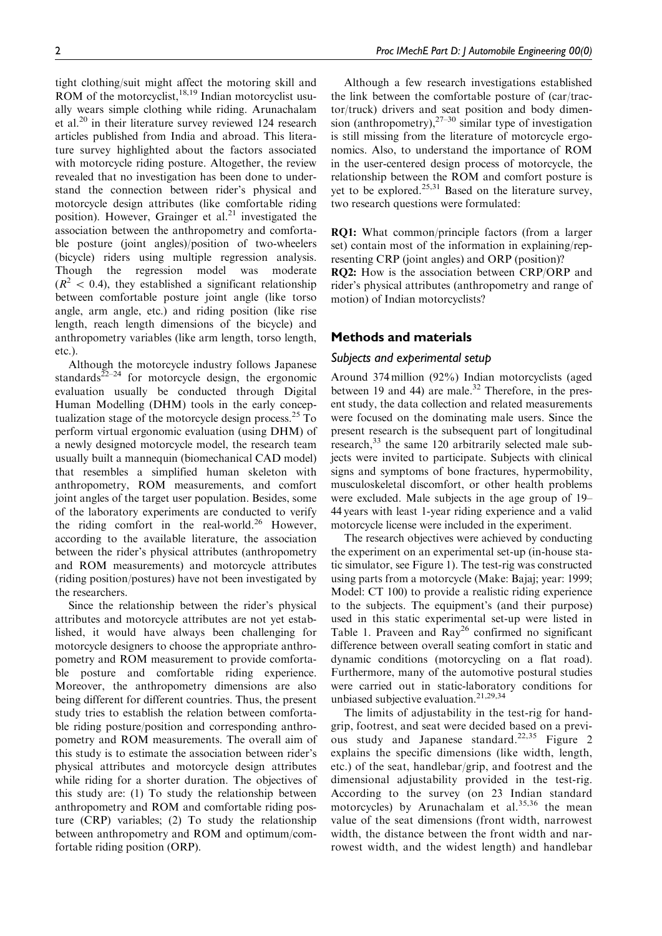tight clothing/suit might affect the motoring skill and ROM of the motorcyclist, $18,19$  Indian motorcyclist usually wears simple clothing while riding. Arunachalam et al.<sup>20</sup> in their literature survey reviewed 124 research articles published from India and abroad. This literature survey highlighted about the factors associated with motorcycle riding posture. Altogether, the review revealed that no investigation has been done to understand the connection between rider's physical and motorcycle design attributes (like comfortable riding position). However, Grainger et al. $^{21}$  investigated the association between the anthropometry and comfortable posture (joint angles)/position of two-wheelers (bicycle) riders using multiple regression analysis. Though the regression model was moderate  $(R<sup>2</sup> < 0.4)$ , they established a significant relationship between comfortable posture joint angle (like torso angle, arm angle, etc.) and riding position (like rise length, reach length dimensions of the bicycle) and anthropometry variables (like arm length, torso length, etc.).

Although the motorcycle industry follows Japanese standards $^{22-24}$  for motorcycle design, the ergonomic evaluation usually be conducted through Digital Human Modelling (DHM) tools in the early conceptualization stage of the motorcycle design process.<sup>25</sup> To perform virtual ergonomic evaluation (using DHM) of a newly designed motorcycle model, the research team usually built a mannequin (biomechanical CAD model) that resembles a simplified human skeleton with anthropometry, ROM measurements, and comfort joint angles of the target user population. Besides, some of the laboratory experiments are conducted to verify the riding comfort in the real-world.<sup>26</sup> However, according to the available literature, the association between the rider's physical attributes (anthropometry and ROM measurements) and motorcycle attributes (riding position/postures) have not been investigated by the researchers.

Since the relationship between the rider's physical attributes and motorcycle attributes are not yet established, it would have always been challenging for motorcycle designers to choose the appropriate anthropometry and ROM measurement to provide comfortable posture and comfortable riding experience. Moreover, the anthropometry dimensions are also being different for different countries. Thus, the present study tries to establish the relation between comfortable riding posture/position and corresponding anthropometry and ROM measurements. The overall aim of this study is to estimate the association between rider's physical attributes and motorcycle design attributes while riding for a shorter duration. The objectives of this study are: (1) To study the relationship between anthropometry and ROM and comfortable riding posture (CRP) variables; (2) To study the relationship between anthropometry and ROM and optimum/comfortable riding position (ORP).

Although a few research investigations established the link between the comfortable posture of (car/tractor/truck) drivers and seat position and body dimension (anthropometry), $27-30$  similar type of investigation is still missing from the literature of motorcycle ergonomics. Also, to understand the importance of ROM in the user-centered design process of motorcycle, the relationship between the ROM and comfort posture is yet to be explored.<sup>25,31</sup> Based on the literature survey, two research questions were formulated:

RQ1: What common/principle factors (from a larger set) contain most of the information in explaining/representing CRP (joint angles) and ORP (position)? RQ2: How is the association between CRP/ORP and rider's physical attributes (anthropometry and range of motion) of Indian motorcyclists?

#### Methods and materials

#### *Subjects and experimental setup*

Around 374 million (92%) Indian motorcyclists (aged between 19 and 44) are male.<sup>32</sup> Therefore, in the present study, the data collection and related measurements were focused on the dominating male users. Since the present research is the subsequent part of longitudinal research,<sup>33</sup> the same 120 arbitrarily selected male subjects were invited to participate. Subjects with clinical signs and symptoms of bone fractures, hypermobility, musculoskeletal discomfort, or other health problems were excluded. Male subjects in the age group of 19– 44 years with least 1-year riding experience and a valid motorcycle license were included in the experiment.

The research objectives were achieved by conducting the experiment on an experimental set-up (in-house static simulator, see Figure 1). The test-rig was constructed using parts from a motorcycle (Make: Bajaj; year: 1999; Model: CT 100) to provide a realistic riding experience to the subjects. The equipment's (and their purpose) used in this static experimental set-up were listed in Table 1. Praveen and  $Ray^{26}$  confirmed no significant difference between overall seating comfort in static and dynamic conditions (motorcycling on a flat road). Furthermore, many of the automotive postural studies were carried out in static-laboratory conditions for unbiased subjective evaluation.21,29,34

The limits of adjustability in the test-rig for handgrip, footrest, and seat were decided based on a previous study and Japanese standard.<sup>22,35</sup> Figure 2 explains the specific dimensions (like width, length, etc.) of the seat, handlebar/grip, and footrest and the dimensional adjustability provided in the test-rig. According to the survey (on 23 Indian standard motorcycles) by Arunachalam et al.<sup>35,36</sup> the mean value of the seat dimensions (front width, narrowest width, the distance between the front width and narrowest width, and the widest length) and handlebar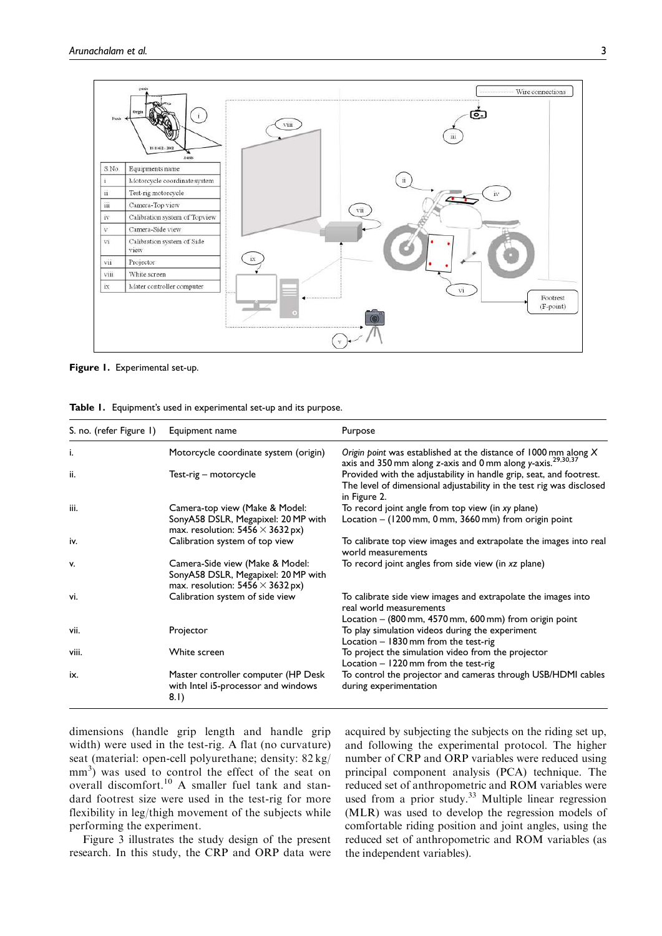

Figure 1. Experimental set-up.

| S. no. (refer Figure 1) | Equipment name                                                                                                    | Purpose                                                                                                                                                     |
|-------------------------|-------------------------------------------------------------------------------------------------------------------|-------------------------------------------------------------------------------------------------------------------------------------------------------------|
| i.                      | Motorcycle coordinate system (origin)                                                                             | Origin point was established at the distance of 1000 mm along X<br>axis and 350 mm along z-axis and 0 mm along y-axis. <sup>29,30,37</sup>                  |
| ii.                     | Test-rig – motorcycle                                                                                             | Provided with the adjustability in handle grip, seat, and footrest.<br>The level of dimensional adjustability in the test rig was disclosed<br>in Figure 2. |
| iii.                    | Camera-top view (Make & Model:<br>SonyA58 DSLR, Megapixel: 20 MP with<br>max. resolution: $5456 \times 3632$ px)  | To record joint angle from top view (in xy plane)<br>Location $-$ (1200 mm, 0 mm, 3660 mm) from origin point                                                |
| iv.                     | Calibration system of top view                                                                                    | To calibrate top view images and extrapolate the images into real<br>world measurements                                                                     |
| v.                      | Camera-Side view (Make & Model:<br>SonyA58 DSLR, Megapixel: 20 MP with<br>max. resolution: $5456 \times 3632$ px) | To record joint angles from side view (in xz plane)                                                                                                         |
| vi.                     | Calibration system of side view                                                                                   | To calibrate side view images and extrapolate the images into<br>real world measurements<br>Location $-$ (800 mm, 4570 mm, 600 mm) from origin point        |

vii. **Projector** Projector **Projector To play simulation videos during the experiment** 

viii. White screen To project the simulation video from the projector

Table 1. Equipment's used in experimental set-up and its purpose.

dimensions (handle grip length and handle grip width) were used in the test-rig. A flat (no curvature) seat (material: open-cell polyurethane; density: 82 kg/ mm<sup>3</sup>) was used to control the effect of the seat on overall discomfort.<sup>10</sup> A smaller fuel tank and standard footrest size were used in the test-rig for more flexibility in leg/thigh movement of the subjects while performing the experiment.

ix. Master controller computer (HP Desk

8.1)

with Intel i5-processor and windows

Figure 3 illustrates the study design of the present research. In this study, the CRP and ORP data were acquired by subjecting the subjects on the riding set up, and following the experimental protocol. The higher number of CRP and ORP variables were reduced using principal component analysis (PCA) technique. The reduced set of anthropometric and ROM variables were used from a prior study.<sup>33</sup> Multiple linear regression (MLR) was used to develop the regression models of comfortable riding position and joint angles, using the reduced set of anthropometric and ROM variables (as the independent variables).

To control the projector and cameras through USB/HDMI cables

Location – 1830 mm from the test-rig

Location – 1220 mm from the test-rig

during experimentation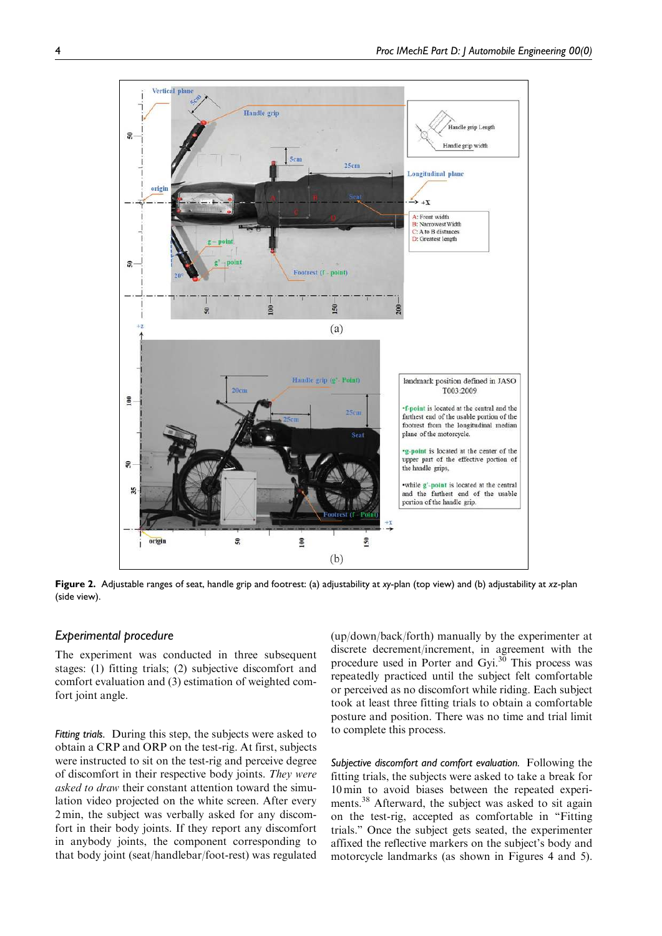

Figure 2. Adjustable ranges of seat, handle grip and footrest: (a) adjustability at *xy*-plan (top view) and (b) adjustability at *xz*-plan (side view).

#### *Experimental procedure*

The experiment was conducted in three subsequent stages: (1) fitting trials; (2) subjective discomfort and comfort evaluation and (3) estimation of weighted comfort joint angle.

*Fitting trials.* During this step, the subjects were asked to obtain a CRP and ORP on the test-rig. At first, subjects were instructed to sit on the test-rig and perceive degree of discomfort in their respective body joints. They were asked to draw their constant attention toward the simulation video projected on the white screen. After every 2 min, the subject was verbally asked for any discomfort in their body joints. If they report any discomfort in anybody joints, the component corresponding to that body joint (seat/handlebar/foot-rest) was regulated

(up/down/back/forth) manually by the experimenter at discrete decrement/increment, in agreement with the procedure used in Porter and Gyi. $3\overline{0}$  This process was repeatedly practiced until the subject felt comfortable or perceived as no discomfort while riding. Each subject took at least three fitting trials to obtain a comfortable posture and position. There was no time and trial limit to complete this process.

*Subjective discomfort and comfort evaluation.* Following the fitting trials, the subjects were asked to take a break for 10 min to avoid biases between the repeated experiments.<sup>38</sup> Afterward, the subject was asked to sit again on the test-rig, accepted as comfortable in ''Fitting trials.'' Once the subject gets seated, the experimenter affixed the reflective markers on the subject's body and motorcycle landmarks (as shown in Figures 4 and 5).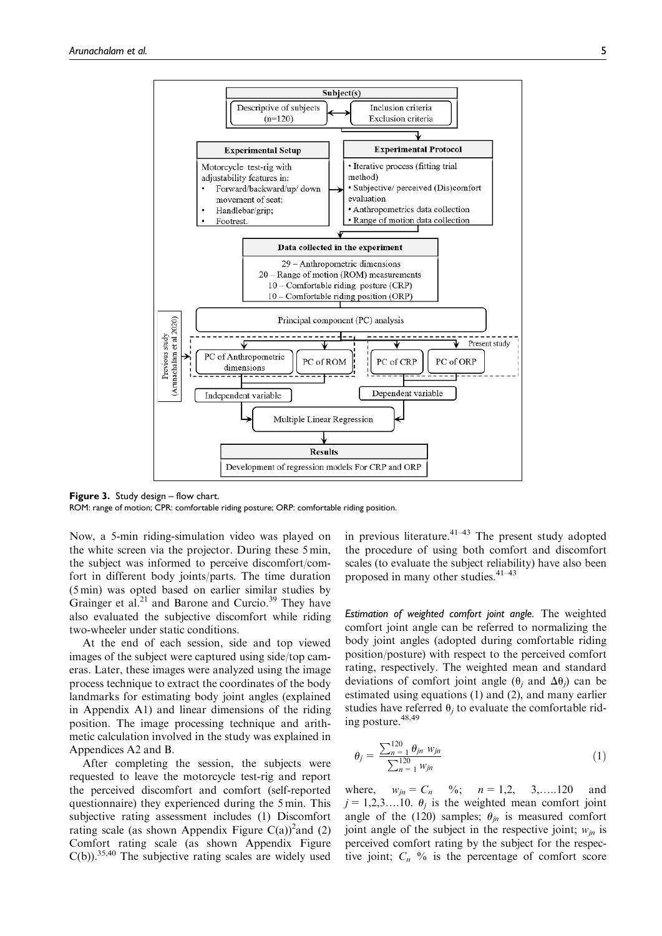

Figure 3. Study design – flow chart.

ROM: range of motion; CPR: comfortable riding posture; ORP: comfortable riding position.

Now, a 5-min riding-simulation video was played on the white screen via the projector. During these 5 min, the subject was informed to perceive discomfort/comfort in different body joints/parts. The time duration (5 min) was opted based on earlier similar studies by Grainger et al.<sup>21</sup> and Barone and Curcio.<sup>39</sup> They have also evaluated the subjective discomfort while riding two-wheeler under static conditions.

At the end of each session, side and top viewed images of the subject were captured using side/top cameras. Later, these images were analyzed using the image process technique to extract the coordinates of the body landmarks for estimating body joint angles (explained in Appendix A1) and linear dimensions of the riding position. The image processing technique and arithmetic calculation involved in the study was explained in Appendices A2 and B.

After completing the session, the subjects were requested to leave the motorcycle test-rig and report the perceived discomfort and comfort (self-reported questionnaire) they experienced during the 5 min. This subjective rating assessment includes (1) Discomfort rating scale (as shown Appendix Figure  $C(a)$ )<sup>2</sup> and (2) Comfort rating scale (as shown Appendix Figure  $C(b)$ .<sup>35,40</sup> The subjective rating scales are widely used in previous literature. $41-43$  The present study adopted the procedure of using both comfort and discomfort scales (to evaluate the subject reliability) have also been proposed in many other studies. $4^{1-43}$ 

*Estimation of weighted comfort joint angle.* The weighted comfort joint angle can be referred to normalizing the body joint angles (adopted during comfortable riding position/posture) with respect to the perceived comfort rating, respectively. The weighted mean and standard deviations of comfort joint angle  $(\theta_j$  and  $\Delta\theta_j)$  can be estimated using equations (1) and (2), and many earlier studies have referred  $\theta_j$  to evaluate the comfortable riding posture.<sup>48,49</sup>

$$
\theta_j = \frac{\sum_{n=1}^{120} \theta_{jn} w_{jn}}{\sum_{n=1}^{120} w_{jn}}
$$
(1)

where,  $w_{jn} = C_n$  %;  $n = 1,2, 3,...120$  and  $j = 1,2,3...10$ .  $\theta_j$  is the weighted mean comfort joint angle of the (120) samples;  $\theta_{in}$  is measured comfort joint angle of the subject in the respective joint;  $w_{in}$  is perceived comfort rating by the subject for the respective joint;  $C_n$  % is the percentage of comfort score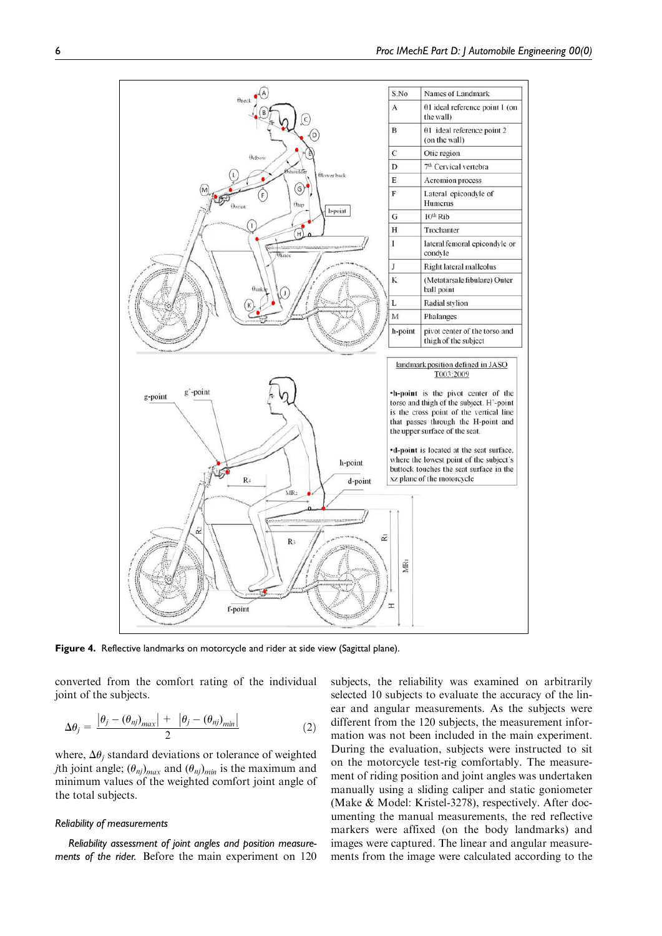

Figure 4. Reflective landmarks on motorcycle and rider at side view (Sagittal plane).

converted from the comfort rating of the individual joint of the subjects.

$$
\Delta \theta_j = \frac{\left| \theta_j - (\theta_{nj})_{max} \right| + \left| \theta_j - (\theta_{nj})_{min} \right|}{2} \tag{2}
$$

where,  $\Delta\theta_i$  standard deviations or tolerance of weighted *j*th joint angle;  $(\theta_{nj})_{max}$  and  $(\theta_{nj})_{min}$  is the maximum and minimum values of the weighted comfort joint angle of the total subjects.

#### *Reliability of measurements*

*Reliability assessment of joint angles and position measurements of the rider.* Before the main experiment on 120 subjects, the reliability was examined on arbitrarily selected 10 subjects to evaluate the accuracy of the linear and angular measurements. As the subjects were different from the 120 subjects, the measurement information was not been included in the main experiment. During the evaluation, subjects were instructed to sit on the motorcycle test-rig comfortably. The measurement of riding position and joint angles was undertaken manually using a sliding caliper and static goniometer (Make & Model: Kristel-3278), respectively. After documenting the manual measurements, the red reflective markers were affixed (on the body landmarks) and images were captured. The linear and angular measurements from the image were calculated according to the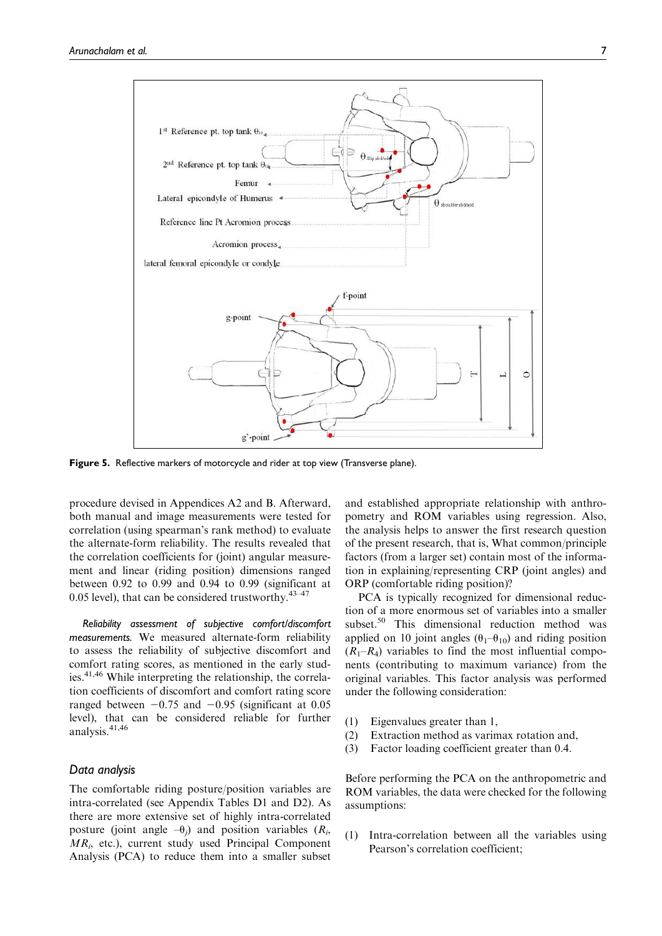

Figure 5. Reflective markers of motorcycle and rider at top view (Transverse plane).

procedure devised in Appendices A2 and B. Afterward, both manual and image measurements were tested for correlation (using spearman's rank method) to evaluate the alternate-form reliability. The results revealed that the correlation coefficients for (joint) angular measurement and linear (riding position) dimensions ranged between 0.92 to 0.99 and 0.94 to 0.99 (significant at 0.05 level), that can be considered trustworthy. $43-47$ 

*Reliability assessment of subjective comfort/discomfort measurements.* We measured alternate-form reliability to assess the reliability of subjective discomfort and comfort rating scores, as mentioned in the early studies. $41,46$  While interpreting the relationship, the correlation coefficients of discomfort and comfort rating score ranged between  $-0.75$  and  $-0.95$  (significant at 0.05 level), that can be considered reliable for further analysis.41,46

#### *Data analysis*

The comfortable riding posture/position variables are intra-correlated (see Appendix Tables D1 and D2). As there are more extensive set of highly intra-correlated posture (joint angle  $-\theta_j$ ) and position variables  $(R_i,$  $MR<sub>i</sub>$ , etc.), current study used Principal Component Analysis (PCA) to reduce them into a smaller subset and established appropriate relationship with anthropometry and ROM variables using regression. Also, the analysis helps to answer the first research question of the present research, that is, What common/principle factors (from a larger set) contain most of the information in explaining/representing CRP (joint angles) and ORP (comfortable riding position)?

PCA is typically recognized for dimensional reduction of a more enormous set of variables into a smaller subset.<sup>50</sup> This dimensional reduction method was applied on 10 joint angles  $(\theta_1-\theta_{10})$  and riding position  $(R_1-R_4)$  variables to find the most influential components (contributing to maximum variance) from the original variables. This factor analysis was performed under the following consideration:

- (1) Eigenvalues greater than 1,
- (2) Extraction method as varimax rotation and,
- (3) Factor loading coefficient greater than 0.4.

Before performing the PCA on the anthropometric and ROM variables, the data were checked for the following assumptions:

(1) Intra-correlation between all the variables using Pearson's correlation coefficient;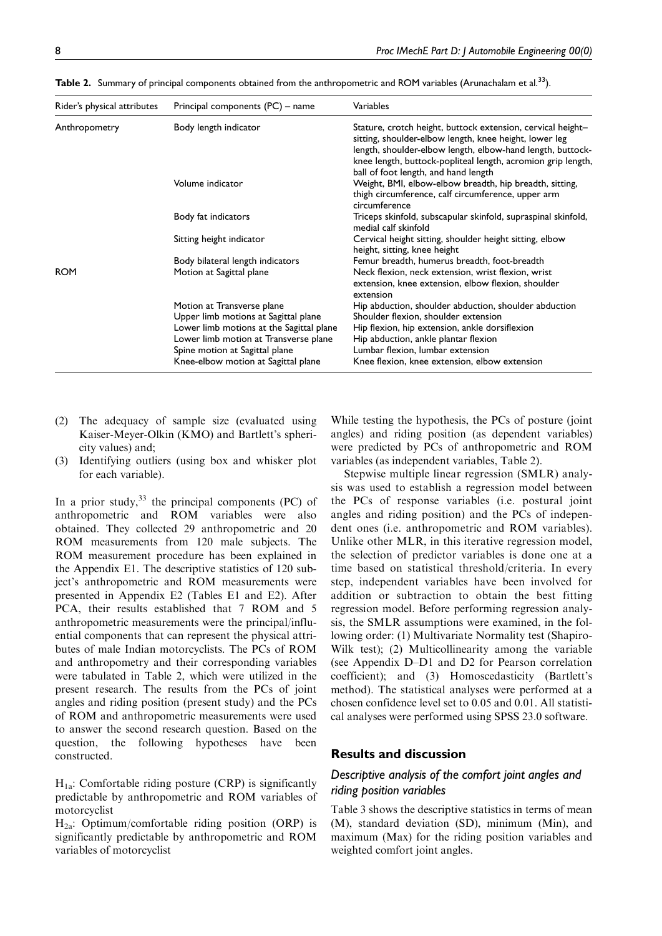| Rider's physical attributes | Principal components (PC) – name                                                  | Variables                                                                                                                                                                                                                                                                                   |
|-----------------------------|-----------------------------------------------------------------------------------|---------------------------------------------------------------------------------------------------------------------------------------------------------------------------------------------------------------------------------------------------------------------------------------------|
| Anthropometry               | Body length indicator                                                             | Stature, crotch height, buttock extension, cervical height-<br>sitting, shoulder-elbow length, knee height, lower leg<br>length, shoulder-elbow length, elbow-hand length, buttock-<br>knee length, buttock-popliteal length, acromion grip length,<br>ball of foot length, and hand length |
|                             | Volume indicator                                                                  | Weight, BMI, elbow-elbow breadth, hip breadth, sitting,<br>thigh circumference, calf circumference, upper arm<br>circumference                                                                                                                                                              |
|                             | Body fat indicators                                                               | Triceps skinfold, subscapular skinfold, supraspinal skinfold,<br>medial calf skinfold                                                                                                                                                                                                       |
|                             | Sitting height indicator                                                          | Cervical height sitting, shoulder height sitting, elbow<br>height, sitting, knee height                                                                                                                                                                                                     |
|                             | Body bilateral length indicators                                                  | Femur breadth, humerus breadth, foot-breadth                                                                                                                                                                                                                                                |
| <b>ROM</b>                  | Motion at Sagittal plane                                                          | Neck flexion, neck extension, wrist flexion, wrist<br>extension, knee extension, elbow flexion, shoulder<br>extension                                                                                                                                                                       |
|                             | Motion at Transverse plane<br>Upper limb motions at Sagittal plane                | Hip abduction, shoulder abduction, shoulder abduction<br>Shoulder flexion, shoulder extension                                                                                                                                                                                               |
|                             | Lower limb motions at the Sagittal plane<br>Lower limb motion at Transverse plane | Hip flexion, hip extension, ankle dorsiflexion<br>Hip abduction, ankle plantar flexion                                                                                                                                                                                                      |
|                             | Spine motion at Sagittal plane<br>Knee-elbow motion at Sagittal plane             | Lumbar flexion, lumbar extension<br>Knee flexion, knee extension, elbow extension                                                                                                                                                                                                           |

Table 2. Summary of principal components obtained from the anthropometric and ROM variables (Arunachalam et al.<sup>33</sup>).

- (2) The adequacy of sample size (evaluated using Kaiser-Meyer-Olkin (KMO) and Bartlett's sphericity values) and;
- (3) Identifying outliers (using box and whisker plot for each variable).

In a prior study, $33$  the principal components (PC) of anthropometric and ROM variables were also obtained. They collected 29 anthropometric and 20 ROM measurements from 120 male subjects. The ROM measurement procedure has been explained in the Appendix E1. The descriptive statistics of 120 subject's anthropometric and ROM measurements were presented in Appendix E2 (Tables E1 and E2). After PCA, their results established that 7 ROM and 5 anthropometric measurements were the principal/influential components that can represent the physical attributes of male Indian motorcyclists. The PCs of ROM and anthropometry and their corresponding variables were tabulated in Table 2, which were utilized in the present research. The results from the PCs of joint angles and riding position (present study) and the PCs of ROM and anthropometric measurements were used to answer the second research question. Based on the question, the following hypotheses have been constructed.

 $H_{1a}$ : Comfortable riding posture (CRP) is significantly predictable by anthropometric and ROM variables of motorcyclist

 $H_{2a}$ : Optimum/comfortable riding position (ORP) is significantly predictable by anthropometric and ROM variables of motorcyclist

While testing the hypothesis, the PCs of posture (joint angles) and riding position (as dependent variables) were predicted by PCs of anthropometric and ROM variables (as independent variables, Table 2).

Stepwise multiple linear regression (SMLR) analysis was used to establish a regression model between the PCs of response variables (i.e. postural joint angles and riding position) and the PCs of independent ones (i.e. anthropometric and ROM variables). Unlike other MLR, in this iterative regression model, the selection of predictor variables is done one at a time based on statistical threshold/criteria. In every step, independent variables have been involved for addition or subtraction to obtain the best fitting regression model. Before performing regression analysis, the SMLR assumptions were examined, in the following order: (1) Multivariate Normality test (Shapiro-Wilk test); (2) Multicollinearity among the variable (see Appendix D–D1 and D2 for Pearson correlation coefficient); and (3) Homoscedasticity (Bartlett's method). The statistical analyses were performed at a chosen confidence level set to 0.05 and 0.01. All statistical analyses were performed using SPSS 23.0 software.

#### Results and discussion

# *Descriptive analysis of the comfort joint angles and riding position variables*

Table 3 shows the descriptive statistics in terms of mean (M), standard deviation (SD), minimum (Min), and maximum (Max) for the riding position variables and weighted comfort joint angles.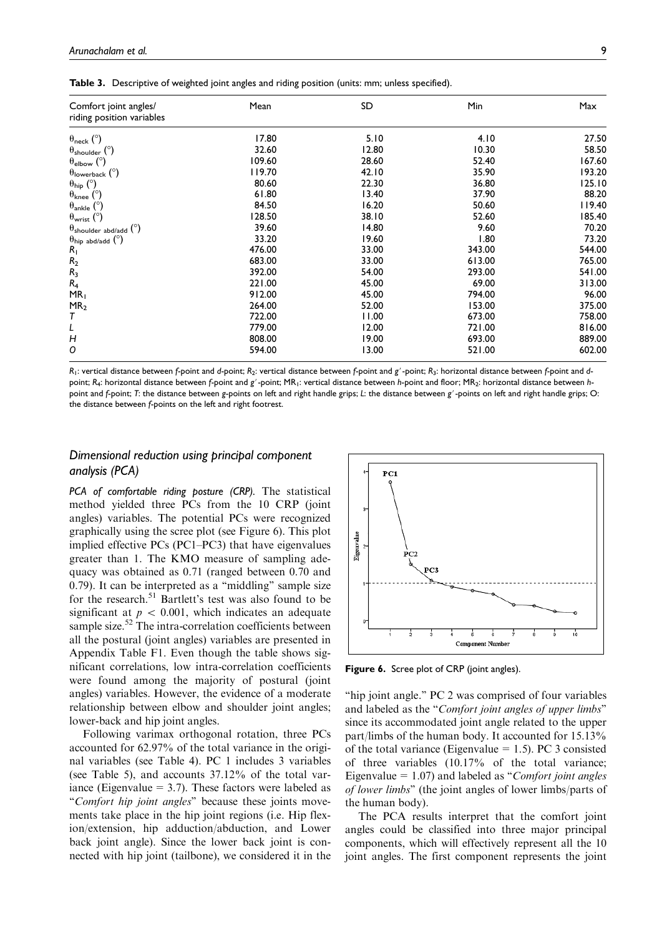| Comfort joint angles/<br>riding position variables | Mean   | SD    | Min    | Max    |
|----------------------------------------------------|--------|-------|--------|--------|
| $\theta_{\text{neck}}$ (°)                         | 17.80  | 5.10  | 4.10   | 27.50  |
| $\theta_{\text{shoulder}}$ ( $\degree$ )           | 32.60  | 12.80 | 10.30  | 58.50  |
| $\theta_{\text{elbow}}$ (°)                        | 109.60 | 28.60 | 52.40  | 167.60 |
| $\theta$ lowerback (°)                             | 119.70 | 42.10 | 35.90  | 193.20 |
| $\theta_{\text{hip}}$ (°)                          | 80.60  | 22.30 | 36.80  | 125.10 |
| $\theta_{\text{knee}}$ ( $^{\circ}$ )              | 61.80  | 13.40 | 37.90  | 88.20  |
| $\theta_{\text{ankle}}$ ( $\degree$ )              | 84.50  | 16.20 | 50.60  | 119.40 |
| $\theta_{\text{wrist}}$ (°)                        | 128.50 | 38.10 | 52.60  | 185.40 |
| $\theta_{\text{shoulder abd/add}}$ (°)             | 39.60  | 14.80 | 9.60   | 70.20  |
| $\theta_{\text{hip abd/add}}$ ( $^{\circ}$ )       | 33.20  | 19.60 | 1.80   | 73.20  |
| $R_1$                                              | 476.00 | 33.00 | 343.00 | 544.00 |
| R <sub>2</sub>                                     | 683.00 | 33.00 | 613.00 | 765.00 |
| $R_3$                                              | 392.00 | 54.00 | 293.00 | 541.00 |
| $R_4$                                              | 221.00 | 45.00 | 69.00  | 313.00 |
| MR <sub>1</sub>                                    | 912.00 | 45.00 | 794.00 | 96.00  |
| MR <sub>2</sub>                                    | 264.00 | 52.00 | 153.00 | 375.00 |
| Т                                                  | 722.00 | 11.00 | 673.00 | 758.00 |
| L                                                  | 779.00 | 12.00 | 721.00 | 816.00 |
| $\overline{H}$                                     | 808.00 | 19.00 | 693.00 | 889.00 |
| Ο                                                  | 594.00 | 13.00 | 521.00 | 602.00 |

Table 3. Descriptive of weighted joint angles and riding position (units: mm; unless specified).

*R*1: vertical distance between *f*-point and *d*-point; *R*2: vertical distance between *f*-point and *g*#-point; *R*3: horizontal distance between *f*-point and *d*point; R<sub>4</sub>: horizontal distance between *f*-point and *g'* -point; MR<sub>1</sub>: vertical distance between *h*-point and floor; MR<sub>2</sub>: horizontal distance between *h*point and *f*-point; *T*: the distance between *g*-points on left and right handle grips; *L*: the distance between *g*'-points on left and right handle grips; O: the distance between *f*-points on the left and right footrest.

# *Dimensional reduction using principal component analysis (PCA)*

*PCA of comfortable riding posture (CRP).* The statistical method yielded three PCs from the 10 CRP (joint angles) variables. The potential PCs were recognized graphically using the scree plot (see Figure 6). This plot implied effective PCs (PC1–PC3) that have eigenvalues greater than 1. The KMO measure of sampling adequacy was obtained as 0.71 (ranged between 0.70 and 0.79). It can be interpreted as a ''middling'' sample size for the research.<sup>51</sup> Bartlett's test was also found to be significant at  $p \, < \, 0.001$ , which indicates an adequate sample size.<sup>52</sup> The intra-correlation coefficients between all the postural (joint angles) variables are presented in Appendix Table F1. Even though the table shows significant correlations, low intra-correlation coefficients were found among the majority of postural (joint angles) variables. However, the evidence of a moderate relationship between elbow and shoulder joint angles; lower-back and hip joint angles.

Following varimax orthogonal rotation, three PCs accounted for 62.97% of the total variance in the original variables (see Table 4). PC 1 includes 3 variables (see Table 5), and accounts 37.12% of the total variance (Eigenvalue  $= 3.7$ ). These factors were labeled as "Comfort hip joint angles" because these joints movements take place in the hip joint regions (i.e. Hip flexion/extension, hip adduction/abduction, and Lower back joint angle). Since the lower back joint is connected with hip joint (tailbone), we considered it in the



Figure 6. Scree plot of CRP (joint angles).

"hip joint angle." PC 2 was comprised of four variables and labeled as the "Comfort joint angles of upper limbs" since its accommodated joint angle related to the upper part/limbs of the human body. It accounted for 15.13% of the total variance (Eigenvalue = 1.5). PC 3 consisted of three variables (10.17% of the total variance; Eigenvalue =  $1.07$ ) and labeled as "*Comfort joint angles* of lower limbs'' (the joint angles of lower limbs/parts of the human body).

The PCA results interpret that the comfort joint angles could be classified into three major principal components, which will effectively represent all the 10 joint angles. The first component represents the joint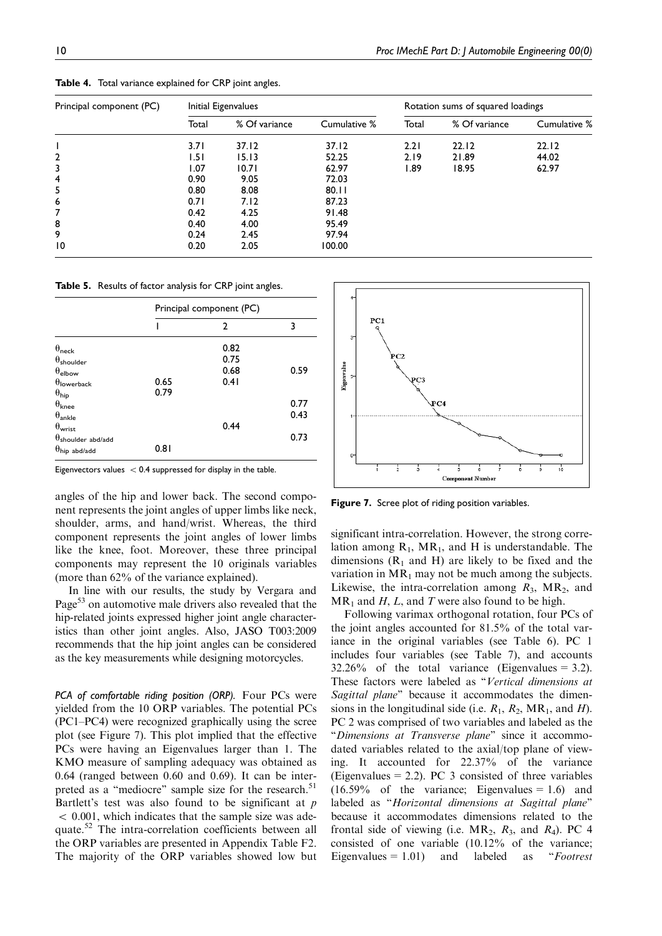| Principal component (PC) | Initial Eigenvalues |               |              | Rotation sums of squared loadings |               |              |
|--------------------------|---------------------|---------------|--------------|-----------------------------------|---------------|--------------|
|                          | Total               | % Of variance | Cumulative % | Total                             | % Of variance | Cumulative % |
|                          | 3.71                | 37.12         | 37.12        | 2.21                              | 22.12         | 22.12        |
| 2                        | 1.51                | 15.13         | 52.25        | 2.19                              | 21.89         | 44.02        |
| 3                        | 1.07                | 10.71         | 62.97        | 89. ا                             | 18.95         | 62.97        |
| 4                        | 0.90                | 9.05          | 72.03        |                                   |               |              |
| 5                        | 0.80                | 8.08          | 80.11        |                                   |               |              |
| 6                        | 0.71                | 7.12          | 87.23        |                                   |               |              |
| 7                        | 0.42                | 4.25          | 91.48        |                                   |               |              |
| 8                        | 0.40                | 4.00          | 95.49        |                                   |               |              |
| 9                        | 0.24                | 2.45          | 97.94        |                                   |               |              |
| 10                       | 0.20                | 2.05          | 100.00       |                                   |               |              |

Table 4. Total variance explained for CRP joint angles.

Table 5. Results of factor analysis for CRP joint angles.

|                               | Principal component (PC) |      |      |
|-------------------------------|--------------------------|------|------|
|                               |                          | 2    | 3    |
| $\theta_{\sf neck}$           |                          | 0.82 |      |
| $\theta_{\sf shoulder}$       |                          | 0.75 |      |
| $\theta_{\sf elbow}$          |                          | 0.68 | 0.59 |
| $\theta$ lowerback            | 0.65                     | 0.41 |      |
| $\theta_{\sf hip}$            | 0.79                     |      |      |
| $\theta_{\sf knee}$           |                          |      | 0.77 |
| $\theta_{\mathsf{ankle}}$     |                          |      | 0.43 |
| $\theta_{\sf wrist}$          |                          | 0.44 |      |
| $\theta$ shoulder abd/add     |                          |      | 0.73 |
| $\theta_{\text{hip abd/add}}$ | 0.81                     |      |      |



angles of the hip and lower back. The second component represents the joint angles of upper limbs like neck, shoulder, arms, and hand/wrist. Whereas, the third component represents the joint angles of lower limbs like the knee, foot. Moreover, these three principal components may represent the 10 originals variables (more than 62% of the variance explained).

In line with our results, the study by Vergara and Page<sup>53</sup> on automotive male drivers also revealed that the hip-related joints expressed higher joint angle characteristics than other joint angles. Also, JASO T003:2009 recommends that the hip joint angles can be considered as the key measurements while designing motorcycles.

*PCA of comfortable riding position (ORP).* Four PCs were yielded from the 10 ORP variables. The potential PCs (PC1–PC4) were recognized graphically using the scree plot (see Figure 7). This plot implied that the effective PCs were having an Eigenvalues larger than 1. The KMO measure of sampling adequacy was obtained as 0.64 (ranged between 0.60 and 0.69). It can be interpreted as a "mediocre" sample size for the research.<sup>51</sup> Bartlett's test was also found to be significant at  $p$  $\langle 0.001,$  which indicates that the sample size was adequate.<sup>52</sup> The intra-correlation coefficients between all the ORP variables are presented in Appendix Table F2. The majority of the ORP variables showed low but



Figure 7. Scree plot of riding position variables.

significant intra-correlation. However, the strong correlation among  $R_1$ , MR<sub>1</sub>, and H is understandable. The dimensions  $(R_1$  and H) are likely to be fixed and the variation in  $MR_1$  may not be much among the subjects. Likewise, the intra-correlation among  $R_3$ , MR<sub>2</sub>, and  $MR_1$  and H, L, and T were also found to be high.

Following varimax orthogonal rotation, four PCs of the joint angles accounted for 81.5% of the total variance in the original variables (see Table 6). PC 1 includes four variables (see Table 7), and accounts  $32.26\%$  of the total variance (Eigenvalues = 3.2). These factors were labeled as "Vertical dimensions at Sagittal plane" because it accommodates the dimensions in the longitudinal side (i.e.  $R_1$ ,  $R_2$ , MR<sub>1</sub>, and *H*). PC 2 was comprised of two variables and labeled as the "Dimensions at Transverse plane" since it accommodated variables related to the axial/top plane of viewing. It accounted for 22.37% of the variance (Eigenvalues = 2.2). PC 3 consisted of three variables  $(16.59\% \text{ of the variance};$  Eigenvalues = 1.6) and labeled as "Horizontal dimensions at Sagittal plane" because it accommodates dimensions related to the frontal side of viewing (i.e.  $MR_2$ ,  $R_3$ , and  $R_4$ ). PC 4 consisted of one variable (10.12% of the variance; Eigenvalues =  $1.01$ ) and labeled as "Footrest"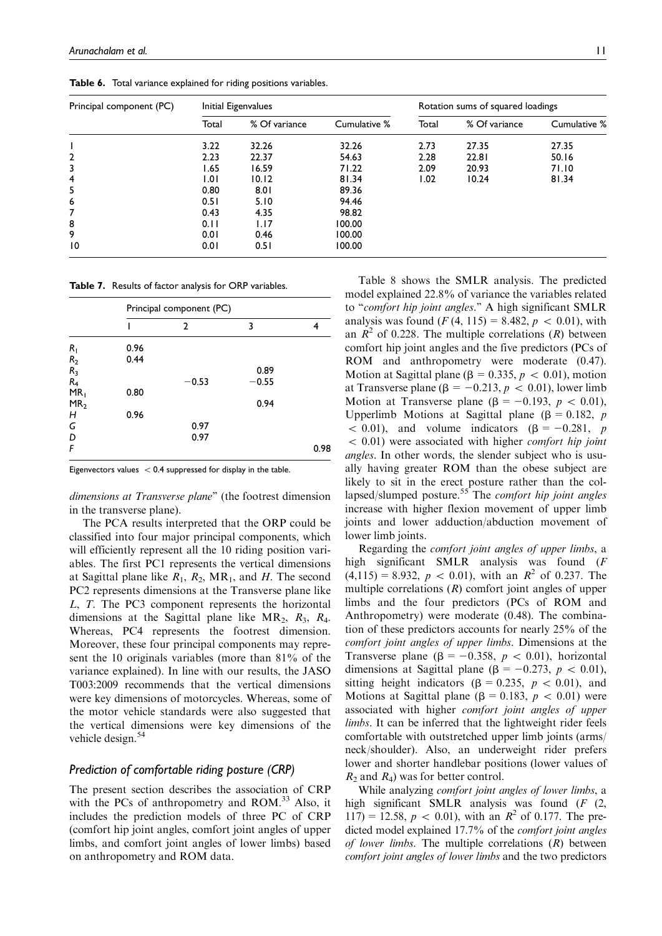Table 6. Total variance explained for riding positions variables.

| Principal component (PC) | Initial Eigenvalues |               |              | Rotation sums of squared loadings |               |              |
|--------------------------|---------------------|---------------|--------------|-----------------------------------|---------------|--------------|
|                          | Total               | % Of variance | Cumulative % | Total                             | % Of variance | Cumulative % |
|                          | 3.22                | 32.26         | 32.26        | 2.73                              | 27.35         | 27.35        |
| 2                        | 2.23                | 22.37         | 54.63        | 2.28                              | 22.81         | 50.16        |
| 3                        | 1.65                | 16.59         | 71.22        | 2.09                              | 20.93         | 71.10        |
| $\overline{4}$           | 1.01                | 10.12         | 81.34        | 1.02                              | 10.24         | 81.34        |
| 5                        | 0.80                | 8.01          | 89.36        |                                   |               |              |
| 6                        | 0.51                | 5.10          | 94.46        |                                   |               |              |
| 7                        | 0.43                | 4.35          | 98.82        |                                   |               |              |
| 8                        | 0.11                | 1.17          | 100.00       |                                   |               |              |
| 9                        | 0.01                | 0.46          | 100.00       |                                   |               |              |
| 10                       | 0.01                | 0.51          | 100.00       |                                   |               |              |

Table 7. Results of factor analysis for ORP variables.

|                 | Principal component (PC) |         |         |      |  |  |
|-----------------|--------------------------|---------|---------|------|--|--|
|                 |                          | 2       | 3       | 4    |  |  |
| $R_1$           | 0.96                     |         |         |      |  |  |
|                 | 0.44                     |         |         |      |  |  |
| $R_2$<br>$R_3$  |                          |         | 0.89    |      |  |  |
| $R_4$           |                          | $-0.53$ | $-0.55$ |      |  |  |
| MR <sub>1</sub> | 0.80                     |         |         |      |  |  |
| MR <sub>2</sub> |                          |         | 0.94    |      |  |  |
| H               | 0.96                     |         |         |      |  |  |
| G               |                          | 0.97    |         |      |  |  |
| D               |                          | 0.97    |         |      |  |  |
| F               |                          |         |         | 0.98 |  |  |

Eigenvectors values  $\langle 0.4$  suppressed for display in the table.

dimensions at Transverse plane'' (the footrest dimension in the transverse plane).

The PCA results interpreted that the ORP could be classified into four major principal components, which will efficiently represent all the 10 riding position variables. The first PC1 represents the vertical dimensions at Sagittal plane like  $R_1$ ,  $R_2$ , MR<sub>1</sub>, and H. The second PC2 represents dimensions at the Transverse plane like L, T. The PC3 component represents the horizontal dimensions at the Sagittal plane like  $MR_2$ ,  $R_3$ ,  $R_4$ . Whereas, PC4 represents the footrest dimension. Moreover, these four principal components may represent the 10 originals variables (more than 81% of the variance explained). In line with our results, the JASO T003:2009 recommends that the vertical dimensions were key dimensions of motorcycles. Whereas, some of the motor vehicle standards were also suggested that the vertical dimensions were key dimensions of the vehicle design.<sup>54</sup>

#### *Prediction of comfortable riding posture (CRP)*

The present section describes the association of CRP with the PCs of anthropometry and ROM.<sup>33</sup> Also, it includes the prediction models of three PC of CRP (comfort hip joint angles, comfort joint angles of upper limbs, and comfort joint angles of lower limbs) based on anthropometry and ROM data.

Table 8 shows the SMLR analysis. The predicted model explained 22.8% of variance the variables related to "comfort hip joint angles." A high significant SMLR analysis was found  $(F(4, 115) = 8.482, p \, < 0.01)$ , with an  $\mathbb{R}^2$  of 0.228. The multiple correlations  $(\mathbb{R})$  between comfort hip joint angles and the five predictors (PCs of ROM and anthropometry were moderate (0.47). Motion at Sagittal plane ( $\beta = 0.335, p \lt 0.01$ ), motion at Transverse plane ( $\beta = -0.213$ ,  $p \lt 0.01$ ), lower limb Motion at Transverse plane ( $\beta = -0.193$ ,  $p \lt 0.01$ ), Upperlimb Motions at Sagittal plane ( $\beta = 0.182$ , p  $<$  0.01), and volume indicators ( $\beta$  = -0.281, p  $< 0.01$ ) were associated with higher *comfort hip joint* angles. In other words, the slender subject who is usually having greater ROM than the obese subject are likely to sit in the erect posture rather than the collapsed/slumped posture.<sup>55</sup> The *comfort hip joint angles* increase with higher flexion movement of upper limb joints and lower adduction/abduction movement of lower limb joints.

Regarding the comfort joint angles of upper limbs, a high significant SMLR analysis was found (F  $(4,115) = 8.932, p < 0.01$ , with an  $R^2$  of 0.237. The multiple correlations  $(R)$  comfort joint angles of upper limbs and the four predictors (PCs of ROM and Anthropometry) were moderate (0.48). The combination of these predictors accounts for nearly 25% of the comfort joint angles of upper limbs. Dimensions at the Transverse plane ( $\beta = -0.358$ ,  $p \lt 0.01$ ), horizontal dimensions at Sagittal plane ( $\beta = -0.273$ ,  $p \lt 0.01$ ), sitting height indicators ( $\beta = 0.235$ ,  $p < 0.01$ ), and Motions at Sagittal plane ( $\beta = 0.183$ ,  $p \lt 0.01$ ) were associated with higher comfort joint angles of upper limbs. It can be inferred that the lightweight rider feels comfortable with outstretched upper limb joints (arms/ neck/shoulder). Also, an underweight rider prefers lower and shorter handlebar positions (lower values of  $R_2$  and  $R_4$ ) was for better control.

While analyzing *comfort joint angles of lower limbs*, a high significant SMLR analysis was found (F (2,  $117$ ) = 12.58,  $p \, < 0.01$ ), with an  $R^2$  of 0.177. The predicted model explained 17.7% of the comfort joint angles of lower limbs. The multiple correlations  $(R)$  between comfort joint angles of lower limbs and the two predictors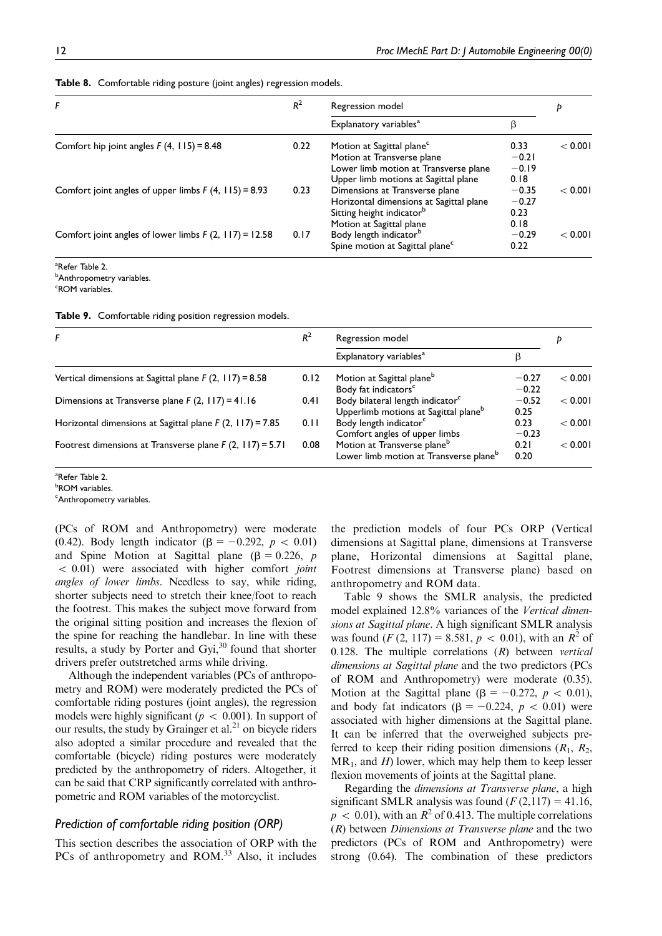| F                                                       | $R^2$ | Regression model                                                                                                                                     | p                                  |         |
|---------------------------------------------------------|-------|------------------------------------------------------------------------------------------------------------------------------------------------------|------------------------------------|---------|
|                                                         |       | Explanatory variables <sup>a</sup>                                                                                                                   | β                                  |         |
| Comfort hip joint angles $F(4, 115) = 8.48$             | 0.22  | Motion at Sagittal plane <sup>c</sup><br>Motion at Transverse plane<br>Lower limb motion at Transverse plane<br>Upper limb motions at Sagittal plane | 0.33<br>$-0.21$<br>$-0.19$<br>0.18 | < 0.001 |
| Comfort joint angles of upper limbs $F(4, 115) = 8.93$  | 0.23  | Dimensions at Transverse plane<br>Horizontal dimensions at Sagittal plane<br>Sitting height indicator <sup>b</sup>                                   | $-0.35$<br>$-0.27$<br>0.23         | < 0.001 |
| Comfort joint angles of lower limbs $F(2, 117) = 12.58$ | 0.17  | Motion at Sagittal plane<br>Body length indicator <sup>b</sup><br>Spine motion at Sagittal plane <sup>c</sup>                                        | 0.18<br>$-0.29$<br>0.22            | < 0.001 |

Table 8. Comfortable riding posture (joint angles) regression models.

<sup>a</sup>Refer Table 2. **b**Anthropometry variables.

<sup>c</sup>ROM variables.

Table 9. Comfortable riding position regression models.

| F                                                          | $R^2$ | Regression model                                                                                 |                    |         |
|------------------------------------------------------------|-------|--------------------------------------------------------------------------------------------------|--------------------|---------|
|                                                            |       | Explanatory variables <sup>a</sup>                                                               |                    |         |
| Vertical dimensions at Sagittal plane $F(2, 117) = 8.58$   | 0.12  | Motion at Sagittal plane <sup>b</sup><br>Body fat indicators <sup>c</sup>                        | $-0.27$<br>$-0.22$ | < 0.001 |
| Dimensions at Transverse plane $F(2, 117) = 41.16$         | 0.41  | Body bilateral length indicator <sup>c</sup><br>Upperlimb motions at Sagittal plane <sup>b</sup> | $-0.52$<br>0.25    | < 0.001 |
| Horizontal dimensions at Sagittal plane $F(2, 117) = 7.85$ | 0.11  | Body length indicator <sup>c</sup><br>Comfort angles of upper limbs                              | 0.23<br>$-0.23$    | < 0.001 |
| Footrest dimensions at Transverse plane $F(2, 117) = 5.71$ | 0.08  | Motion at Transverse plane <sup>b</sup><br>Lower limb motion at Transverse plane <sup>b</sup>    | 0.21<br>0.20       | < 0.001 |

<sup>a</sup>Refer Table 2.

<sup>b</sup>ROM variables. <sup>c</sup>Anthropometry variables.

(PCs of ROM and Anthropometry) were moderate (0.42). Body length indicator  $(\beta = -0.292, p < 0.01)$ and Spine Motion at Sagittal plane ( $\beta = 0.226$ , p  $< 0.01$ ) were associated with higher comfort *joint* angles of lower limbs. Needless to say, while riding, shorter subjects need to stretch their knee/foot to reach the footrest. This makes the subject move forward from the original sitting position and increases the flexion of the spine for reaching the handlebar. In line with these results, a study by Porter and Gyi,<sup>30</sup> found that shorter drivers prefer outstretched arms while driving.

Although the independent variables (PCs of anthropometry and ROM) were moderately predicted the PCs of comfortable riding postures (joint angles), the regression models were highly significant ( $p \, < \, 0.001$ ). In support of our results, the study by Grainger et al.<sup>21</sup> on bicycle riders also adopted a similar procedure and revealed that the comfortable (bicycle) riding postures were moderately predicted by the anthropometry of riders. Altogether, it can be said that CRP significantly correlated with anthropometric and ROM variables of the motorcyclist.

#### *Prediction of comfortable riding position (ORP)*

This section describes the association of ORP with the PCs of anthropometry and ROM.<sup>33</sup> Also, it includes the prediction models of four PCs ORP (Vertical dimensions at Sagittal plane, dimensions at Transverse plane, Horizontal dimensions at Sagittal plane, Footrest dimensions at Transverse plane) based on anthropometry and ROM data.

Table 9 shows the SMLR analysis, the predicted model explained 12.8% variances of the Vertical dimensions at Sagittal plane. A high significant SMLR analysis was found  $(F(2, 117) = 8.581, p < 0.01)$ , with an  $R^2$  of 0.128. The multiple correlations  $(R)$  between vertical dimensions at Sagittal plane and the two predictors (PCs of ROM and Anthropometry) were moderate (0.35). Motion at the Sagittal plane ( $\beta = -0.272$ ,  $p \lt 0.01$ ), and body fat indicators ( $\beta = -0.224$ ,  $p \lt 0.01$ ) were associated with higher dimensions at the Sagittal plane. It can be inferred that the overweighed subjects preferred to keep their riding position dimensions  $(R_1, R_2,$  $MR_1$ , and H) lower, which may help them to keep lesser flexion movements of joints at the Sagittal plane.

Regarding the dimensions at Transverse plane, a high significant SMLR analysis was found  $(F(2,117)= 41.16,$  $p \, < \, 0.01$ ), with an  $R^2$  of 0.413. The multiple correlations  $(R)$  between *Dimensions at Transverse plane* and the two predictors (PCs of ROM and Anthropometry) were strong (0.64). The combination of these predictors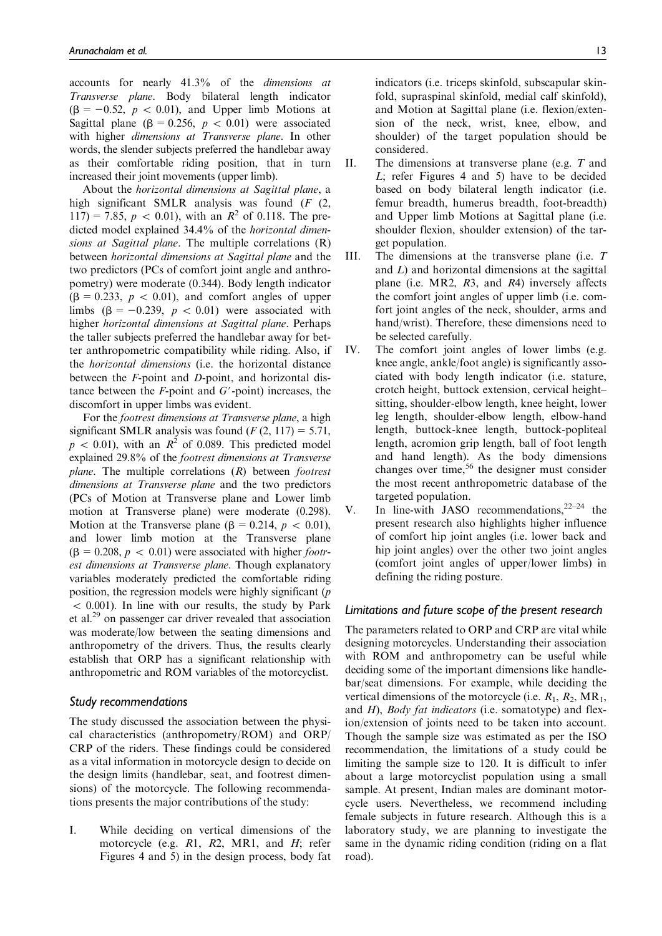accounts for nearly 41.3% of the dimensions at Transverse plane. Body bilateral length indicator  $(\beta = -0.52, p < 0.01)$ , and Upper limb Motions at Sagittal plane ( $\beta = 0.256$ ,  $p < 0.01$ ) were associated with higher *dimensions at Transverse plane*. In other words, the slender subjects preferred the handlebar away as their comfortable riding position, that in turn increased their joint movements (upper limb).

About the horizontal dimensions at Sagittal plane, a high significant SMLR analysis was found (F (2, 117) = 7.85,  $p \, < 0.01$ ), with an  $R^2$  of 0.118. The predicted model explained 34.4% of the horizontal dimensions at Sagittal plane. The multiple correlations (R) between horizontal dimensions at Sagittal plane and the two predictors (PCs of comfort joint angle and anthropometry) were moderate (0.344). Body length indicator  $(\beta = 0.233, p \lt 0.01)$ , and comfort angles of upper limbs  $(\beta = -0.239, p < 0.01)$  were associated with higher horizontal dimensions at Sagittal plane. Perhaps the taller subjects preferred the handlebar away for better anthropometric compatibility while riding. Also, if the horizontal dimensions (i.e. the horizontal distance between the F-point and D-point, and horizontal distance between the  $F$ -point and  $G'$ -point) increases, the discomfort in upper limbs was evident.

For the footrest dimensions at Transverse plane, a high significant SMLR analysis was found  $(F(2, 117)) = 5.71$ ,  $p \, < \, 0.01$ ), with an  $R^2$  of 0.089. This predicted model explained 29.8% of the footrest dimensions at Transverse *plane*. The multiple correlations  $(R)$  between *footrest* dimensions at Transverse plane and the two predictors (PCs of Motion at Transverse plane and Lower limb motion at Transverse plane) were moderate (0.298). Motion at the Transverse plane ( $\beta = 0.214$ ,  $p \lt 0.01$ ), and lower limb motion at the Transverse plane  $(\beta = 0.208, p < 0.01)$  were associated with higher *footr*est dimensions at Transverse plane. Though explanatory variables moderately predicted the comfortable riding position, the regression models were highly significant (p  $< 0.001$ ). In line with our results, the study by Park et al.<sup>29</sup> on passenger car driver revealed that association was moderate/low between the seating dimensions and anthropometry of the drivers. Thus, the results clearly establish that ORP has a significant relationship with anthropometric and ROM variables of the motorcyclist.

#### *Study recommendations*

The study discussed the association between the physical characteristics (anthropometry/ROM) and ORP/ CRP of the riders. These findings could be considered as a vital information in motorcycle design to decide on the design limits (handlebar, seat, and footrest dimensions) of the motorcycle. The following recommendations presents the major contributions of the study:

I. While deciding on vertical dimensions of the motorcycle (e.g. R1, R2, MR1, and H; refer Figures 4 and 5) in the design process, body fat indicators (i.e. triceps skinfold, subscapular skinfold, supraspinal skinfold, medial calf skinfold), and Motion at Sagittal plane (i.e. flexion/extension of the neck, wrist, knee, elbow, and shoulder) of the target population should be considered.

- II. The dimensions at transverse plane (e.g. T and L; refer Figures 4 and 5) have to be decided based on body bilateral length indicator (i.e. femur breadth, humerus breadth, foot-breadth) and Upper limb Motions at Sagittal plane (i.e. shoulder flexion, shoulder extension) of the target population.
- III. The dimensions at the transverse plane (i.e. T and L) and horizontal dimensions at the sagittal plane (i.e. MR2, R3, and R4) inversely affects the comfort joint angles of upper limb (i.e. comfort joint angles of the neck, shoulder, arms and hand/wrist). Therefore, these dimensions need to be selected carefully.
- IV. The comfort joint angles of lower limbs (e.g. knee angle, ankle/foot angle) is significantly associated with body length indicator (i.e. stature, crotch height, buttock extension, cervical height– sitting, shoulder-elbow length, knee height, lower leg length, shoulder-elbow length, elbow-hand length, buttock-knee length, buttock-popliteal length, acromion grip length, ball of foot length and hand length). As the body dimensions changes over time,<sup>56</sup> the designer must consider the most recent anthropometric database of the targeted population.
- V. In line-with JASO recommendations, $2^{2-24}$  the present research also highlights higher influence of comfort hip joint angles (i.e. lower back and hip joint angles) over the other two joint angles (comfort joint angles of upper/lower limbs) in defining the riding posture.

#### *Limitations and future scope of the present research*

The parameters related to ORP and CRP are vital while designing motorcycles. Understanding their association with ROM and anthropometry can be useful while deciding some of the important dimensions like handlebar/seat dimensions. For example, while deciding the vertical dimensions of the motorcycle (i.e.  $R_1, R_2, MR_1$ , and H), Body fat indicators (i.e. somatotype) and flexion/extension of joints need to be taken into account. Though the sample size was estimated as per the ISO recommendation, the limitations of a study could be limiting the sample size to 120. It is difficult to infer about a large motorcyclist population using a small sample. At present, Indian males are dominant motorcycle users. Nevertheless, we recommend including female subjects in future research. Although this is a laboratory study, we are planning to investigate the same in the dynamic riding condition (riding on a flat road).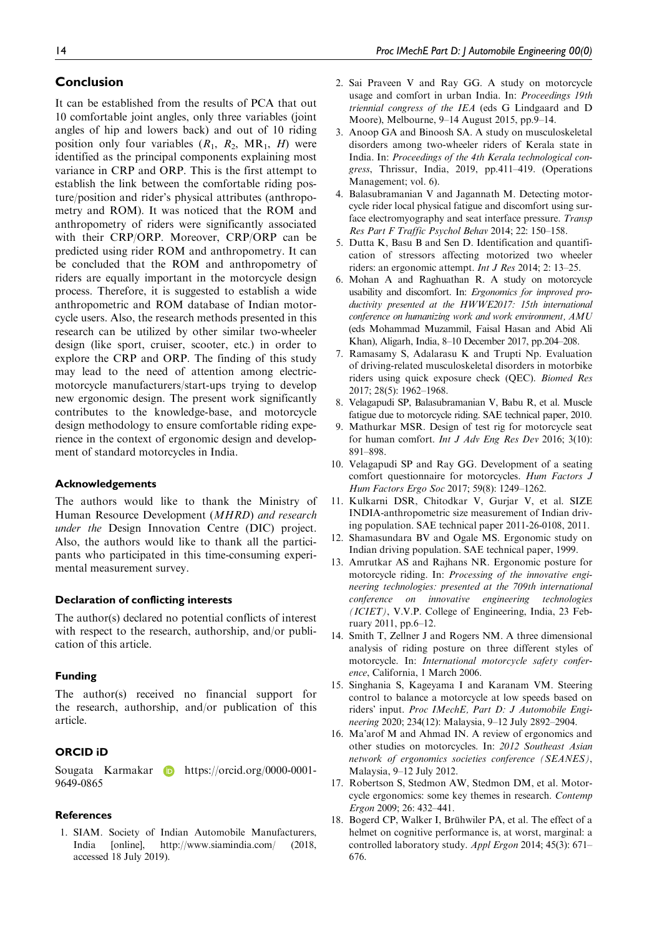### Conclusion

It can be established from the results of PCA that out 10 comfortable joint angles, only three variables (joint angles of hip and lowers back) and out of 10 riding position only four variables  $(R_1, R_2, MR_1, H)$  were identified as the principal components explaining most variance in CRP and ORP. This is the first attempt to establish the link between the comfortable riding posture/position and rider's physical attributes (anthropometry and ROM). It was noticed that the ROM and anthropometry of riders were significantly associated with their CRP/ORP. Moreover, CRP/ORP can be predicted using rider ROM and anthropometry. It can be concluded that the ROM and anthropometry of riders are equally important in the motorcycle design process. Therefore, it is suggested to establish a wide anthropometric and ROM database of Indian motorcycle users. Also, the research methods presented in this research can be utilized by other similar two-wheeler design (like sport, cruiser, scooter, etc.) in order to explore the CRP and ORP. The finding of this study may lead to the need of attention among electricmotorcycle manufacturers/start-ups trying to develop new ergonomic design. The present work significantly contributes to the knowledge-base, and motorcycle design methodology to ensure comfortable riding experience in the context of ergonomic design and development of standard motorcycles in India.

#### Acknowledgements

The authors would like to thank the Ministry of Human Resource Development (MHRD) and research under the Design Innovation Centre (DIC) project. Also, the authors would like to thank all the participants who participated in this time-consuming experimental measurement survey.

#### Declaration of conflicting interests

The author(s) declared no potential conflicts of interest with respect to the research, authorship, and/or publication of this article.

#### Funding

The author(s) received no financial support for the research, authorship, and/or publication of this article.

#### ORCID iD

Sougata Karmakar **https://orcid.org/0000-0001-**9649-0865

#### References

1. SIAM. Society of Indian Automobile Manufacturers, India [online], http://www.siamindia.com/ (2018, accessed 18 July 2019).

- 2. Sai Praveen V and Ray GG. A study on motorcycle usage and comfort in urban India. In: Proceedings 19th triennial congress of the IEA (eds G Lindgaard and D Moore), Melbourne, 9–14 August 2015, pp.9–14.
- 3. Anoop GA and Binoosh SA. A study on musculoskeletal disorders among two-wheeler riders of Kerala state in India. In: Proceedings of the 4th Kerala technological congress, Thrissur, India, 2019, pp.411–419. (Operations Management; vol. 6).
- 4. Balasubramanian V and Jagannath M. Detecting motorcycle rider local physical fatigue and discomfort using surface electromyography and seat interface pressure. Transp Res Part F Traffic Psychol Behav 2014; 22: 150–158.
- 5. Dutta K, Basu B and Sen D. Identification and quantification of stressors affecting motorized two wheeler riders: an ergonomic attempt. Int J Res 2014; 2: 13–25.
- 6. Mohan A and Raghuathan R. A study on motorcycle usability and discomfort. In: Ergonomics for improved productivity presented at the HWWE2017: 15th international conference on humanizing work and work environment, AMU (eds Mohammad Muzammil, Faisal Hasan and Abid Ali Khan), Aligarh, India, 8–10 December 2017, pp.204–208.
- 7. Ramasamy S, Adalarasu K and Trupti Np. Evaluation of driving-related musculoskeletal disorders in motorbike riders using quick exposure check (QEC). Biomed Res 2017; 28(5): 1962–1968.
- 8. Velagapudi SP, Balasubramanian V, Babu R, et al. Muscle fatigue due to motorcycle riding. SAE technical paper, 2010.
- 9. Mathurkar MSR. Design of test rig for motorcycle seat for human comfort. Int J Adv Eng Res Dev 2016; 3(10): 891–898.
- 10. Velagapudi SP and Ray GG. Development of a seating comfort questionnaire for motorcycles. Hum Factors J Hum Factors Ergo Soc 2017; 59(8): 1249–1262.
- 11. Kulkarni DSR, Chitodkar V, Gurjar V, et al. SIZE INDIA-anthropometric size measurement of Indian driving population. SAE technical paper 2011-26-0108, 2011.
- 12. Shamasundara BV and Ogale MS. Ergonomic study on Indian driving population. SAE technical paper, 1999.
- 13. Amrutkar AS and Rajhans NR. Ergonomic posture for motorcycle riding. In: Processing of the innovative engineering technologies: presented at the 709th international conference on innovative engineering technologies (ICIET), V.V.P. College of Engineering, India, 23 February 2011, pp.6–12.
- 14. Smith T, Zellner J and Rogers NM. A three dimensional analysis of riding posture on three different styles of motorcycle. In: International motorcycle safety conference, California, 1 March 2006.
- 15. Singhania S, Kageyama I and Karanam VM. Steering control to balance a motorcycle at low speeds based on riders' input. Proc IMechE, Part D: J Automobile Engineering 2020; 234(12): Malaysia, 9–12 July 2892–2904.
- 16. Ma'arof M and Ahmad IN. A review of ergonomics and other studies on motorcycles. In: 2012 Southeast Asian network of ergonomics societies conference (SEANES), Malaysia, 9–12 July 2012.
- 17. Robertson S, Stedmon AW, Stedmon DM, et al. Motorcycle ergonomics: some key themes in research. Contemp Ergon 2009; 26: 432–441.
- 18. Bogerd CP, Walker I, Brühwiler PA, et al. The effect of a helmet on cognitive performance is, at worst, marginal: a controlled laboratory study. Appl Ergon 2014; 45(3): 671– 676.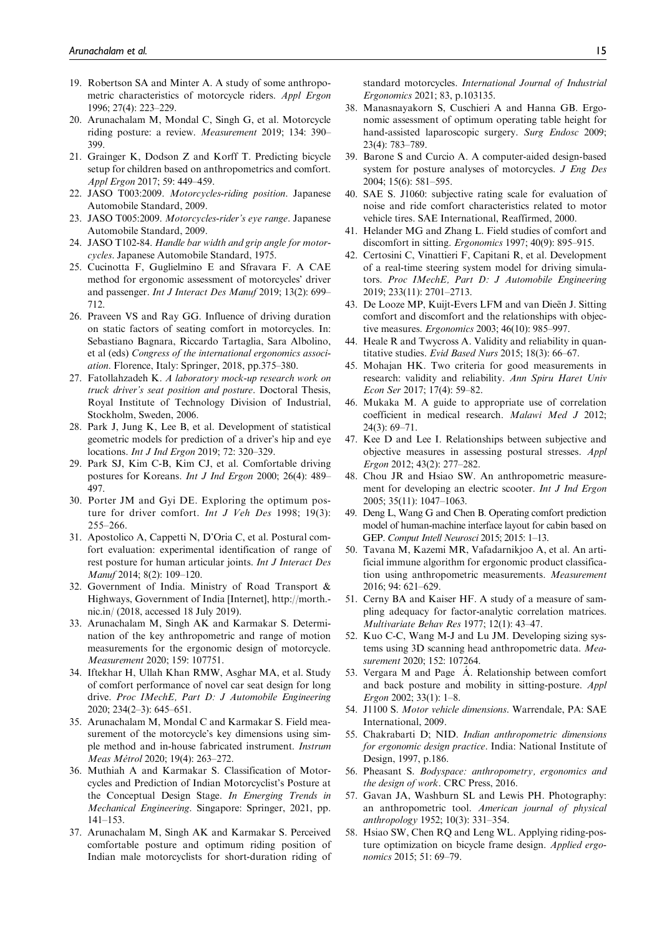- 19. Robertson SA and Minter A. A study of some anthropometric characteristics of motorcycle riders. Appl Ergon 1996; 27(4): 223–229.
- 20. Arunachalam M, Mondal C, Singh G, et al. Motorcycle riding posture: a review. Measurement 2019; 134: 390– 399.
- 21. Grainger K, Dodson Z and Korff T. Predicting bicycle setup for children based on anthropometrics and comfort. Appl Ergon 2017; 59: 449–459.
- 22. JASO T003:2009. Motorcycles-riding position. Japanese Automobile Standard, 2009.
- 23. JASO T005:2009. Motorcycles-rider's eye range. Japanese Automobile Standard, 2009.
- 24. JASO T102-84. Handle bar width and grip angle for motorcycles. Japanese Automobile Standard, 1975.
- 25. Cucinotta F, Guglielmino E and Sfravara F. A CAE method for ergonomic assessment of motorcycles' driver and passenger. Int J Interact Des Manuf 2019; 13(2): 699– 712.
- 26. Praveen VS and Ray GG. Influence of driving duration on static factors of seating comfort in motorcycles. In: Sebastiano Bagnara, Riccardo Tartaglia, Sara Albolino, et al (eds) Congress of the international ergonomics association. Florence, Italy: Springer, 2018, pp.375–380.
- 27. Fatollahzadeh K. A laboratory mock-up research work on truck driver's seat position and posture. Doctoral Thesis, Royal Institute of Technology Division of Industrial, Stockholm, Sweden, 2006.
- 28. Park J, Jung K, Lee B, et al. Development of statistical geometric models for prediction of a driver's hip and eye locations. Int J Ind Ergon 2019; 72: 320–329.
- 29. Park SJ, Kim C-B, Kim CJ, et al. Comfortable driving postures for Koreans. Int J Ind Ergon 2000; 26(4): 489– 497.
- 30. Porter JM and Gyi DE. Exploring the optimum posture for driver comfort. *Int J Veh Des* 1998; 19(3): 255–266.
- 31. Apostolico A, Cappetti N, D'Oria C, et al. Postural comfort evaluation: experimental identification of range of rest posture for human articular joints. Int J Interact Des Manuf 2014; 8(2): 109–120.
- 32. Government of India. Ministry of Road Transport & Highways, Government of India [Internet], http://morth. nic.in/ (2018, accessed 18 July 2019).
- 33. Arunachalam M, Singh AK and Karmakar S. Determination of the key anthropometric and range of motion measurements for the ergonomic design of motorcycle. Measurement 2020; 159: 107751.
- 34. Iftekhar H, Ullah Khan RMW, Asghar MA, et al. Study of comfort performance of novel car seat design for long drive. Proc IMechE, Part D: J Automobile Engineering 2020; 234(2–3): 645–651.
- 35. Arunachalam M, Mondal C and Karmakar S. Field measurement of the motorcycle's key dimensions using simple method and in-house fabricated instrument. Instrum Meas Métrol 2020; 19(4): 263-272.
- 36. Muthiah A and Karmakar S. Classification of Motorcycles and Prediction of Indian Motorcyclist's Posture at the Conceptual Design Stage. In Emerging Trends in Mechanical Engineering. Singapore: Springer, 2021, pp. 141–153.
- 37. Arunachalam M, Singh AK and Karmakar S. Perceived comfortable posture and optimum riding position of Indian male motorcyclists for short-duration riding of

standard motorcycles. International Journal of Industrial Ergonomics 2021; 83, p.103135.

- 38. Manasnayakorn S, Cuschieri A and Hanna GB. Ergonomic assessment of optimum operating table height for hand-assisted laparoscopic surgery. Surg Endosc 2009; 23(4): 783–789.
- 39. Barone S and Curcio A. A computer-aided design-based system for posture analyses of motorcycles. J Eng Des 2004; 15(6): 581–595.
- 40. SAE S. J1060: subjective rating scale for evaluation of noise and ride comfort characteristics related to motor vehicle tires. SAE International, Reaffirmed, 2000.
- 41. Helander MG and Zhang L. Field studies of comfort and discomfort in sitting. Ergonomics 1997; 40(9): 895–915.
- 42. Certosini C, Vinattieri F, Capitani R, et al. Development of a real-time steering system model for driving simulators. Proc IMechE, Part D: J Automobile Engineering 2019; 233(11): 2701–2713.
- 43. De Looze MP, Kuijt-Evers LFM and van Dieën J. Sitting comfort and discomfort and the relationships with objective measures. Ergonomics 2003; 46(10): 985–997.
- 44. Heale R and Twycross A. Validity and reliability in quantitative studies. Evid Based Nurs 2015; 18(3): 66–67.
- 45. Mohajan HK. Two criteria for good measurements in research: validity and reliability. Ann Spiru Haret Univ Econ Ser 2017; 17(4): 59–82.
- 46. Mukaka M. A guide to appropriate use of correlation coefficient in medical research. Malawi Med J 2012; 24(3): 69–71.
- 47. Kee D and Lee I. Relationships between subjective and objective measures in assessing postural stresses. Appl Ergon 2012; 43(2): 277–282.
- 48. Chou JR and Hsiao SW. An anthropometric measurement for developing an electric scooter. Int J Ind Ergon 2005; 35(11): 1047–1063.
- 49. Deng L, Wang G and Chen B. Operating comfort prediction model of human-machine interface layout for cabin based on GEP. Comput Intell Neurosci 2015; 2015: 1–13.
- 50. Tavana M, Kazemi MR, Vafadarnikjoo A, et al. An artificial immune algorithm for ergonomic product classification using anthropometric measurements. Measurement 2016; 94: 621–629.
- 51. Cerny BA and Kaiser HF. A study of a measure of sampling adequacy for factor-analytic correlation matrices. Multivariate Behav Res 1977; 12(1): 43–47.
- 52. Kuo C-C, Wang M-J and Lu JM. Developing sizing systems using 3D scanning head anthropometric data. Measurement 2020; 152: 107264.
- 53. Vergara M and Page A. Relationship between comfort and back posture and mobility in sitting-posture. Appl Ergon 2002; 33(1): 1–8.
- 54. J1100 S. Motor vehicle dimensions. Warrendale, PA: SAE International, 2009.
- 55. Chakrabarti D; NID. Indian anthropometric dimensions for ergonomic design practice. India: National Institute of Design, 1997, p.186.
- 56. Pheasant S. Bodyspace: anthropometry, ergonomics and the design of work. CRC Press, 2016.
- 57. Gavan JA, Washburn SL and Lewis PH. Photography: an anthropometric tool. American journal of physical anthropology 1952; 10(3): 331–354.
- 58. Hsiao SW, Chen RQ and Leng WL. Applying riding-posture optimization on bicycle frame design. Applied ergonomics 2015; 51: 69–79.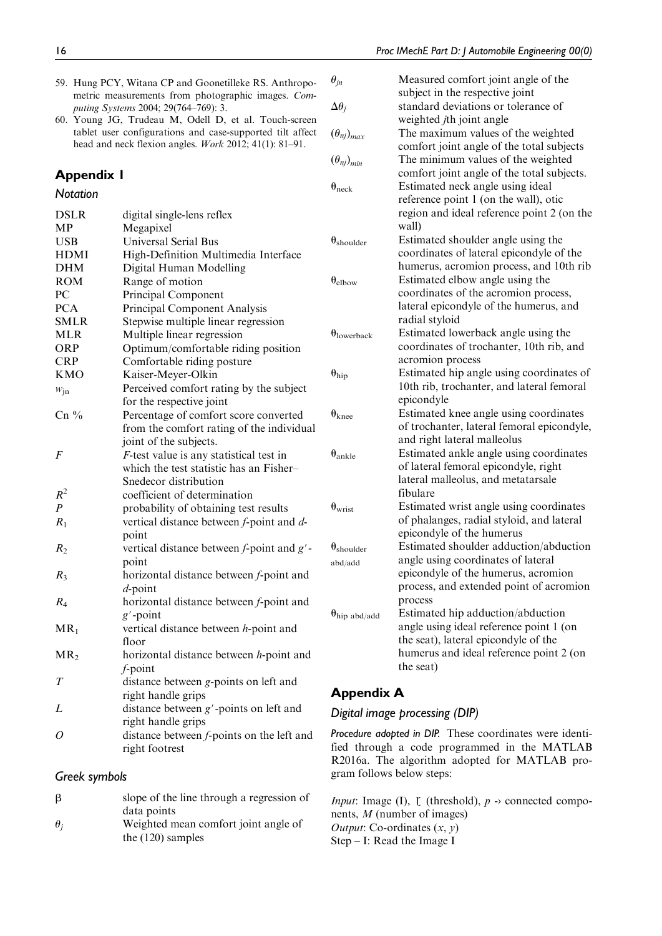- 59. Hung PCY, Witana CP and Goonetilleke RS. Anthropometric measurements from photographic images. Computing Systems 2004; 29(764–769): 3.
- 60. Young JG, Trudeau M, Odell D, et al. Touch-screen tablet user configurations and case-supported tilt affect head and neck flexion angles. Work 2012; 41(1): 81–91.

# Appendix 1

# *Notation*

| <b>DSLR</b>      | digital single-lens reflex                      |                    |
|------------------|-------------------------------------------------|--------------------|
| MP               | Megapixel                                       |                    |
| <b>USB</b>       | <b>Universal Serial Bus</b>                     | $\theta_{\rm sh}$  |
| <b>HDMI</b>      | High-Definition Multimedia Interface            |                    |
| <b>DHM</b>       | Digital Human Modelling                         |                    |
| <b>ROM</b>       | Range of motion                                 | $\theta_{\rm ell}$ |
| PC               | Principal Component                             |                    |
| <b>PCA</b>       | Principal Component Analysis                    |                    |
| <b>SMLR</b>      | Stepwise multiple linear regression             |                    |
| <b>MLR</b>       | Multiple linear regression                      | $\theta_{\rm lo}$  |
| <b>ORP</b>       | Optimum/comfortable riding position             |                    |
| <b>CRP</b>       | Comfortable riding posture                      |                    |
| <b>KMO</b>       | Kaiser-Meyer-Olkin                              | $\theta_{hi}$      |
| $w_{\text{in}}$  | Perceived comfort rating by the subject         |                    |
|                  | for the respective joint                        |                    |
| $Cn\%$           | Percentage of comfort score converted           | $\theta_{\rm kr}$  |
|                  | from the comfort rating of the individual       |                    |
|                  | joint of the subjects.                          |                    |
| F                | $F$ -test value is any statistical test in      | $\theta_{\rm an}$  |
|                  | which the test statistic has an Fisher-         |                    |
|                  | Snedecor distribution                           |                    |
| $R^2$            | coefficient of determination                    |                    |
| $\boldsymbol{P}$ | probability of obtaining test results           | $\theta_{\rm wi}$  |
| $R_1$            | vertical distance between f-point and d-        |                    |
|                  | point                                           |                    |
| $R_2$            | vertical distance between $f$ -point and $g'$ - | $\theta_{\rm sh}$  |
|                  | point                                           | abd                |
| $R_3$            | horizontal distance between f-point and         |                    |
|                  | $d$ -point                                      |                    |
| $R_4$            | horizontal distance between f-point and         |                    |
|                  | $g'$ -point                                     | $\theta_{hi}$      |
| $MR_1$           | vertical distance between h-point and           |                    |
|                  | floor                                           |                    |
| MR <sub>2</sub>  | horizontal distance between <i>h</i> -point and |                    |
|                  | $f$ -point                                      |                    |
| T                | distance between g-points on left and           |                    |
|                  | right handle grips                              | A                  |
| L                | distance between $g'$ -points on left and       | Dig                |
|                  | right handle grips                              |                    |
| 0                | distance between f-points on the left and       | Pro                |
|                  | right footrest                                  | fie                |
|                  |                                                 | R <sub>2</sub>     |

# *Greek symbols*

| β          | slope of the line through a regression of |
|------------|-------------------------------------------|
|            | data points                               |
| $\theta_i$ | Weighted mean comfort joint angle of      |
|            | the $(120)$ samples                       |

| $\theta_{jn}$                         | Measured comfort joint angle of the<br>subject in the respective joint                              |
|---------------------------------------|-----------------------------------------------------------------------------------------------------|
| $\Delta\theta_i$                      | standard deviations or tolerance of<br>weighted <i>j</i> th joint angle                             |
| $(\theta_{nj})_{max}$                 | The maximum values of the weighted<br>comfort joint angle of the total subjects                     |
| $(\theta_{ni})_{min}$                 | The minimum values of the weighted<br>comfort joint angle of the total subjects.                    |
| $\theta_{\text{neck}}$                | Estimated neck angle using ideal                                                                    |
|                                       | reference point 1 (on the wall), otic<br>region and ideal reference point 2 (on the<br>wall)        |
| $\theta_{\text{shoulder}}$            | Estimated shoulder angle using the<br>coordinates of lateral epicondyle of the                      |
|                                       | humerus, acromion process, and 10th rib                                                             |
| $\theta_{\text{elbow}}$               | Estimated elbow angle using the<br>coordinates of the acromion process,                             |
|                                       | lateral epicondyle of the humerus, and<br>radial styloid                                            |
| $\theta$ lowerback                    | Estimated lowerback angle using the<br>coordinates of trochanter, 10th rib, and                     |
|                                       | acromion process                                                                                    |
| $\theta_{\rm hip}$                    | Estimated hip angle using coordinates of<br>10th rib, trochanter, and lateral femoral<br>epicondyle |
| $\theta_{\rm knee}$                   | Estimated knee angle using coordinates<br>of trochanter, lateral femoral epicondyle,                |
|                                       | and right lateral malleolus                                                                         |
| $\theta_{ankle}$                      | Estimated ankle angle using coordinates<br>of lateral femoral epicondyle, right                     |
|                                       | lateral malleolus, and metatarsale<br>fibulare                                                      |
| $\theta_{\text{wrist}}$               | Estimated wrist angle using coordinates<br>of phalanges, radial styloid, and lateral                |
|                                       | epicondyle of the humerus<br>Estimated shoulder adduction/abduction                                 |
| $\theta_{\text{shoulder}}$<br>abd/add | angle using coordinates of lateral                                                                  |
|                                       | epicondyle of the humerus, acromion<br>process, and extended point of acromion                      |
|                                       | process<br>Estimated hip adduction/abduction                                                        |
| $\theta_{\text{hip abd/add}}$         | angle using ideal reference point 1 (on                                                             |
|                                       | the seat), lateral epicondyle of the                                                                |
|                                       | humerus and ideal reference point 2 (on<br>the seat)                                                |
|                                       |                                                                                                     |

# ppendix A

# *Digital image processing (DIP)*

*Procedure adopted in DIP.* These coordinates were identified through a code programmed in the MATLAB 2016a. The algorithm adopted for MATLAB program follows below steps:

*Input*: Image (I),  $\lfloor$  (threshold),  $p \rightarrow$  connected components, M (number of images) *Output*: Co-ordinates  $(x, y)$ Step – I: Read the Image I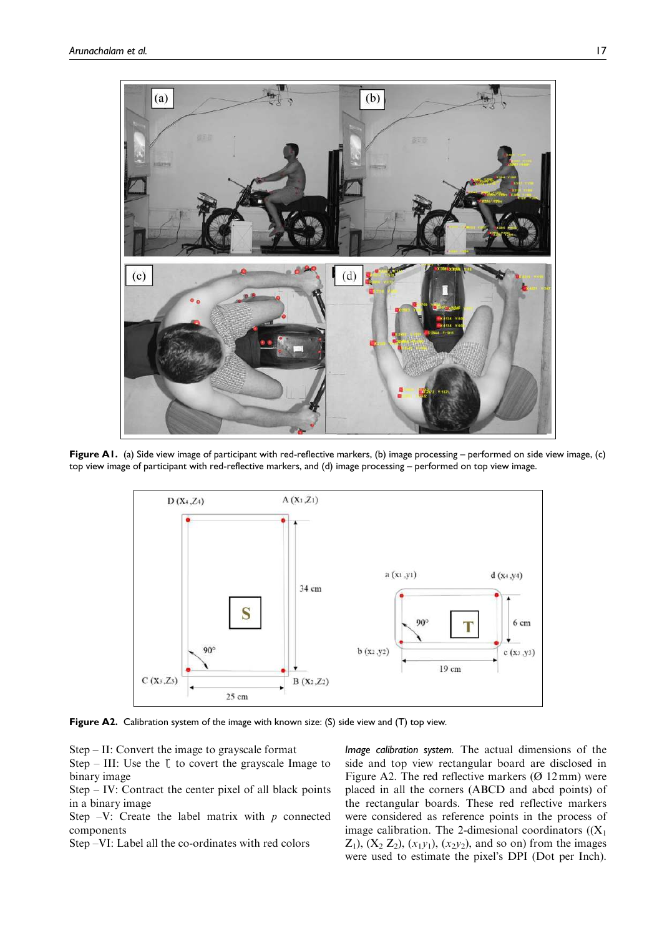

Figure A1. (a) Side view image of participant with red-reflective markers, (b) image processing – performed on side view image, (c) top view image of participant with red-reflective markers, and (d) image processing – performed on top view image.



Figure A2. Calibration system of the image with known size: (S) side view and (T) top view.

Step – II: Convert the image to grayscale format

Step – III: Use the  $\ddagger$  to covert the grayscale Image to binary image

Step – IV: Contract the center pixel of all black points in a binary image

Step  $-V$ : Create the label matrix with p connected components

Step –VI: Label all the co-ordinates with red colors

*Image calibration system.* The actual dimensions of the side and top view rectangular board are disclosed in Figure A2. The red reflective markers  $(\emptyset 12 \text{ mm})$  were placed in all the corners (ABCD and abcd points) of the rectangular boards. These red reflective markers were considered as reference points in the process of image calibration. The 2-dimesional coordinators  $((X_1))$  $Z_1$ ,  $(X_2 Z_2)$ ,  $(x_1 y_1)$ ,  $(x_2 y_2)$ , and so on) from the images were used to estimate the pixel's DPI (Dot per Inch).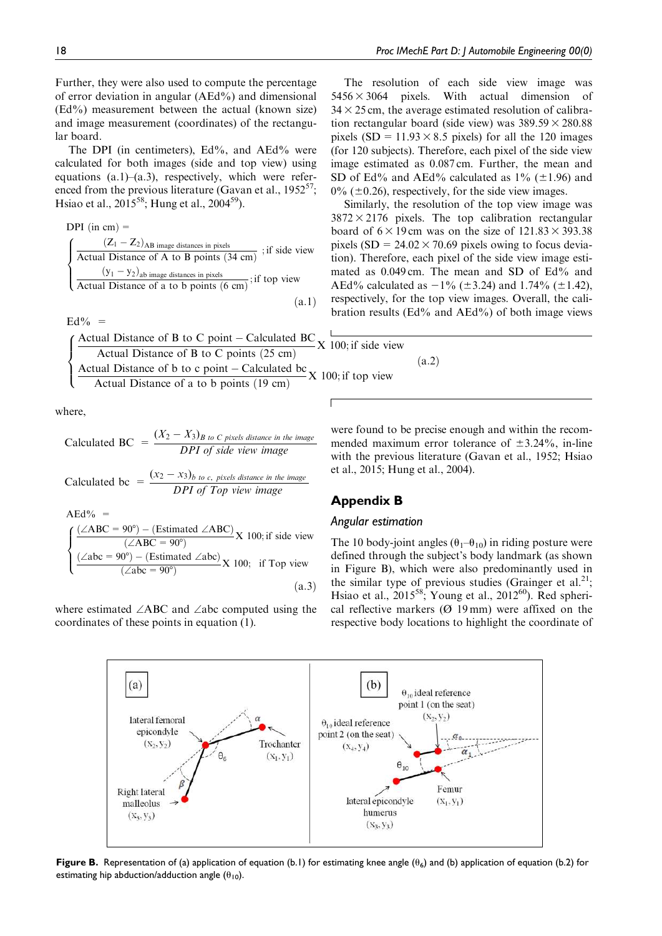Further, they were also used to compute the percentage of error deviation in angular (AEd%) and dimensional (Ed%) measurement between the actual (known size) and image measurement (coordinates) of the rectangular board.

The DPI (in centimeters), Ed%, and AEd% were calculated for both images (side and top view) using equations (a.1)–(a.3), respectively, which were referenced from the previous literature (Gavan et al.,  $1952^{57}$ ; Hsiao et al., 2015<sup>58</sup>; Hung et al., 2004<sup>59</sup>).

$$
DPI (in cm) =
$$
\n
$$
\begin{cases}\n (Z_1 - Z_2)_{AB \text{ image distances in pixels}} \\
 \text{Actual Distance of A to B points (34 cm)} \\
 (y_1 - y_2)_{ab \text{ image distances in pixels}} \\
 \text{Actual Distance of a to b points (6 cm)};\text{if top view}\n \end{cases}
$$
\n(a.1)

Actual Distance of B to C point – Calculated BC  $\chi$  100; if side view Actual Distance of B to C points (25 cm) Actual Distance of b to c point – Calculated bc  $X$  100; if top view Actual Distance of a to b points (19 cm)  $\sqrt{2}$  $\int$  $\overline{\mathcal{L}}$ 

where,

 $Ed\% =$ 

Calculated BC = 
$$
\frac{(X_2 - X_3)_{B\ to\ C\ pixels\ distance\ in\ the\ image}}{DPI\ of\ side\ view\ image}
$$

Calculated bc = 
$$
\frac{(x_2 - x_3)_{b \text{ to } c, \text{ pixels distance in the image}}}{DPI \text{ of Top view image}}
$$

$$
\text{AEd\%} = \int \frac{(\angle ABC = 90^\circ) - (\text{Estimated } \angle ABC)}{(\angle ABC = 90^\circ)} \text{X } 100; \text{ if side view}
$$
\n
$$
\left( \frac{(\angle ABC = 90^\circ) - (\text{Estimated } \angle ABC)}{(\angle abc = 90^\circ)} \text{X } 100; \text{ if Top view} \right)
$$
\n
$$
(a.3)
$$

where estimated  $\angle$ ABC and  $\angle$ abc computed using the coordinates of these points in equation (1).

The resolution of each side view image was  $5456 \times 3064$  pixels. With actual dimension of  $34 \times 25$  cm, the average estimated resolution of calibration rectangular board (side view) was  $389.59 \times 280.88$ pixels (SD =  $11.93 \times 8.5$  pixels) for all the 120 images (for 120 subjects). Therefore, each pixel of the side view image estimated as 0.087 cm. Further, the mean and SD of Ed% and AEd% calculated as  $1\%$  ( $\pm$ 1.96) and  $0\%$  ( $\pm$ 0.26), respectively, for the side view images.

Similarly, the resolution of the top view image was  $3872 \times 2176$  pixels. The top calibration rectangular board of  $6 \times 19$  cm was on the size of  $121.83 \times 393.38$ pixels (SD =  $24.02 \times 70.69$  pixels owing to focus deviation). Therefore, each pixel of the side view image estimated as 0.049 cm. The mean and SD of Ed% and AEd% calculated as  $-1\%$  ( $\pm$ 3.24) and 1.74% ( $\pm$ 1.42), respectively, for the top view images. Overall, the calibration results (Ed% and AEd%) of both image views

 $(a.2)$ 

were found to be precise enough and within the recommended maximum error tolerance of  $\pm 3.24\%$ , in-line with the previous literature (Gavan et al., 1952; Hsiao et al., 2015; Hung et al., 2004).

# Appendix B

#### *Angular estimation*

The 10 body-joint angles  $(\theta_1-\theta_{10})$  in riding posture were defined through the subject's body landmark (as shown in Figure B), which were also predominantly used in the similar type of previous studies (Grainger et al.<sup>21</sup>; Hsiao et al.,  $2015^{58}$ ; Young et al.,  $2012^{60}$ ). Red spherical reflective markers  $(Ø 19 \text{ mm})$  were affixed on the respective body locations to highlight the coordinate of



Figure B. Representation of (a) application of equation (b.1) for estimating knee angle ( $\theta_6$ ) and (b) application of equation (b.2) for estimating hip abduction/adduction angle  $(\theta_{10})$ .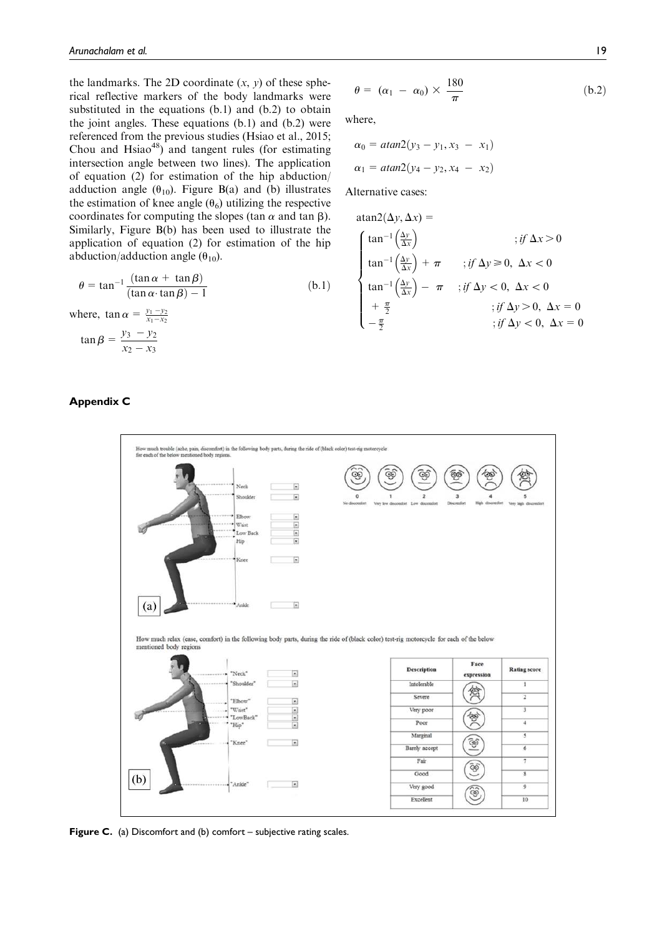the landmarks. The 2D coordinate  $(x, y)$  of these spherical reflective markers of the body landmarks were substituted in the equations (b.1) and (b.2) to obtain the joint angles. These equations (b.1) and (b.2) were referenced from the previous studies (Hsiao et al., 2015; Chou and  $Hsiao^{48}$ ) and tangent rules (for estimating intersection angle between two lines). The application of equation (2) for estimation of the hip abduction/ adduction angle  $(\theta_{10})$ . Figure B(a) and (b) illustrates the estimation of knee angle  $(\theta_6)$  utilizing the respective coordinates for computing the slopes (tan  $\alpha$  and tan  $\beta$ ). Similarly, Figure B(b) has been used to illustrate the application of equation (2) for estimation of the hip abduction/adduction angle  $(\theta_{10})$ .

$$
\theta = \tan^{-1} \frac{(\tan \alpha + \tan \beta)}{(\tan \alpha \cdot \tan \beta) - 1}
$$
 (b.1)

where,  $\tan \alpha = \frac{y_1 - y_2}{x_1 - x_2}$  $\tan \beta = \frac{y_3 - y_2}{ }$  $x_2 - x_3$ 

#### Appendix C



where,

$$
\alpha_0 = \text{atan2}(y_3 - y_1, x_3 - x_1)
$$
\n
$$
\alpha_1 = \text{atan2}(y_4 - y_2, x_4 - x_2)
$$

Alternative cases:

$$
\operatorname{atan2}(\Delta y, \Delta x) =
$$
\n
$$
\begin{cases}\n\tan^{-1}(\frac{\Delta y}{\Delta x}) & ; \text{if } \Delta x > 0 \\
\tan^{-1}(\frac{\Delta y}{\Delta x}) + \pi & ; \text{if } \Delta y \ge 0, \ \Delta x < 0\n\end{cases}
$$
\n
$$
\tan^{-1}(\frac{\Delta y}{\Delta x}) - \pi & ; \text{if } \Delta y < 0, \ \Delta x < 0
$$
\n
$$
+ \frac{\pi}{2} & ; \text{if } \Delta y > 0, \ \Delta x = 0
$$
\n
$$
- \frac{\pi}{2} & ; \text{if } \Delta y < 0, \ \Delta x = 0
$$



Figure C. (a) Discomfort and (b) comfort – subjective rating scales.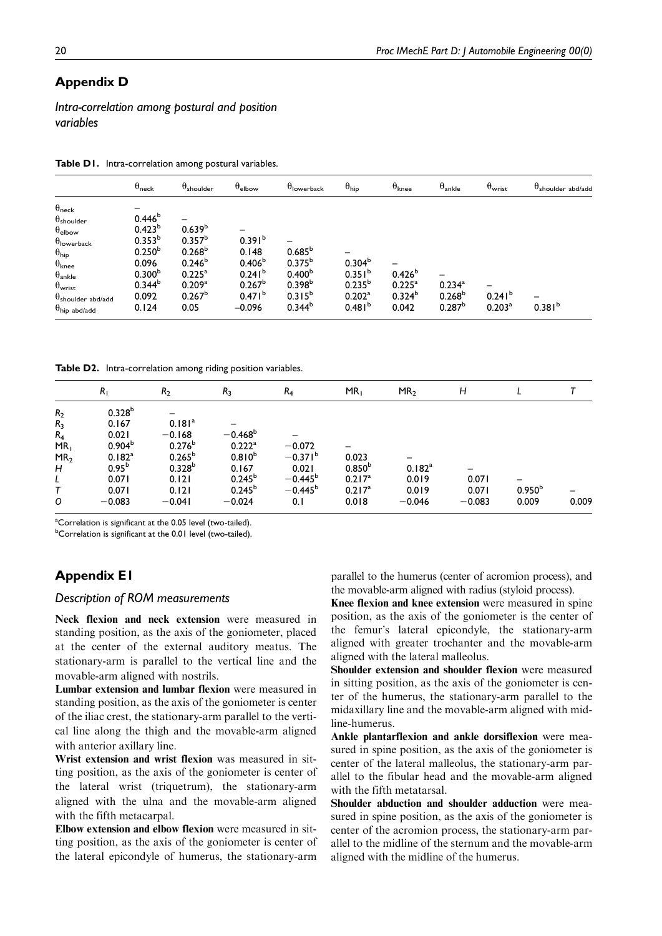# Appendix D

*Intra-correlation among postural and position variables*

Table D1. Intra-correlation among postural variables.

|                                                                                                                                                                                                         | $\theta_{\sf neck}$                                                                                                       | $\theta_{\sf shoulder}$                                                                                              | $\theta_{\sf elbow}$                                                          | $\theta$ lowerback                                                     | $\theta_{\text{hip}}$                            | $\theta_{\text{knee}}$         | $\theta_{\rm ankle}$                     | $\theta_{\text{wrist}}$               | $\theta$ shoulder abd/add |
|---------------------------------------------------------------------------------------------------------------------------------------------------------------------------------------------------------|---------------------------------------------------------------------------------------------------------------------------|----------------------------------------------------------------------------------------------------------------------|-------------------------------------------------------------------------------|------------------------------------------------------------------------|--------------------------------------------------|--------------------------------|------------------------------------------|---------------------------------------|---------------------------|
| $\theta_{\sf neck}$<br>$\theta_{\sf shoulder}$<br>$\theta_{\sf elbow}$<br>$\theta$ lowerback<br>$\theta_{\textsf{hip}}$<br>$\theta_{\text{knee}}$<br>$\theta_{\text{ankle}}$<br>$\theta_{\text{wrist}}$ | -<br>0.446 <sup>b</sup><br>$0.423^{b}$<br>$0.353^{b}$<br>0.250 <sup>b</sup><br>0.096<br>0.300 <sup>b</sup><br>$0.344^{b}$ | -<br>0.639 <sup>b</sup><br>$0.357^{b}$<br>0.268 <sup>b</sup><br>$0.246^{b}$<br>$0.225^{\circ}$<br>0.209 <sup>a</sup> | 0.391 <sup>b</sup><br>0.148<br>0.406 <sup>b</sup><br>$0.241^{b}$<br>$0.267^b$ | $0.685^{b}$<br>$0.375^{b}$<br>0.400 <sup>b</sup><br>0.398 <sup>b</sup> | 0.304 <sup>b</sup><br>$0.351^{b}$<br>$0.235^{b}$ | $0.426^{b}$<br>$0.225^{\rm a}$ | $0.234^{a}$                              |                                       |                           |
| $\theta$ shoulder abd/add<br>$\theta_{\text{hip abd/add}}$                                                                                                                                              | 0.092<br>0.124                                                                                                            | $0.267^{\circ}$<br>0.05                                                                                              | $0.471^{\circ}$<br>$-0.096$                                                   | $0.315^{b}$<br>$0.344^{b}$                                             | 0.202 <sup>a</sup><br>0.481 <sup>b</sup>         | $0.324^{b}$<br>0.042           | 0.268 <sup>b</sup><br>0.287 <sup>b</sup> | 0.241 <sup>b</sup><br>$0.203^{\rm a}$ | $0.381^{b}$               |

Table D2. Intra-correlation among riding position variables.

|                                                  | $R_1$                                                  | R <sub>2</sub>                                            | $R_3$                                        | R <sub>4</sub>                        | MR <sub>1</sub>                       | MR <sub>2</sub>            | H                          |                             |       |
|--------------------------------------------------|--------------------------------------------------------|-----------------------------------------------------------|----------------------------------------------|---------------------------------------|---------------------------------------|----------------------------|----------------------------|-----------------------------|-------|
| R <sub>2</sub><br>R <sub>3</sub>                 | 0.328 <sup>b</sup><br>0.167<br>0.021                   | 0.181 <sup>a</sup>                                        | $-0.468^b$                                   |                                       |                                       |                            |                            |                             |       |
| $R_4$<br>MR <sub>1</sub><br>MR <sub>2</sub><br>Н | 0.904 <sup>b</sup><br>0.182 <sup>a</sup><br>$0.95^{b}$ | $-0.168$<br>$0.276^{b}$<br>$0.265^{\rm b}$<br>$0.328^{b}$ | $0.222$ <sup>a</sup><br>$0.810^{b}$<br>0.167 | $-0.072$<br>$-0.371^{\circ}$<br>0.021 | 0.023<br>$0.850^{b}$                  | -<br>0.182 <sup>a</sup>    |                            |                             |       |
| L<br>0                                           | 0.071<br>0.071<br>$-0.083$                             | 0.121<br>0.121<br>$-0.041$                                | $0.245^{b}$<br>$0.245^{b}$<br>$-0.024$       | $-0.445^b$<br>$-0.445^b$<br>0.1       | $0.217^a$<br>$0.217^{\rm a}$<br>0.018 | 0.019<br>0.019<br>$-0.046$ | 0.071<br>0.071<br>$-0.083$ | 0.950 <sup>b</sup><br>0.009 | 0.009 |

<sup>a</sup>Correlation is significant at the 0.05 level (two-tailed).

**bCorrelation is significant at the 0.01 level (two-tailed).** 

# Appendix E1

#### *Description of ROM measurements*

Neck flexion and neck extension were measured in standing position, as the axis of the goniometer, placed at the center of the external auditory meatus. The stationary-arm is parallel to the vertical line and the movable-arm aligned with nostrils.

Lumbar extension and lumbar flexion were measured in standing position, as the axis of the goniometer is center of the iliac crest, the stationary-arm parallel to the vertical line along the thigh and the movable-arm aligned with anterior axillary line.

Wrist extension and wrist flexion was measured in sitting position, as the axis of the goniometer is center of the lateral wrist (triquetrum), the stationary-arm aligned with the ulna and the movable-arm aligned with the fifth metacarpal.

Elbow extension and elbow flexion were measured in sitting position, as the axis of the goniometer is center of the lateral epicondyle of humerus, the stationary-arm parallel to the humerus (center of acromion process), and the movable-arm aligned with radius (styloid process).

Knee flexion and knee extension were measured in spine position, as the axis of the goniometer is the center of the femur's lateral epicondyle, the stationary-arm aligned with greater trochanter and the movable-arm aligned with the lateral malleolus.

Shoulder extension and shoulder flexion were measured in sitting position, as the axis of the goniometer is center of the humerus, the stationary-arm parallel to the midaxillary line and the movable-arm aligned with midline-humerus.

Ankle plantarflexion and ankle dorsiflexion were measured in spine position, as the axis of the goniometer is center of the lateral malleolus, the stationary-arm parallel to the fibular head and the movable-arm aligned with the fifth metatarsal.

Shoulder abduction and shoulder adduction were measured in spine position, as the axis of the goniometer is center of the acromion process, the stationary-arm parallel to the midline of the sternum and the movable-arm aligned with the midline of the humerus.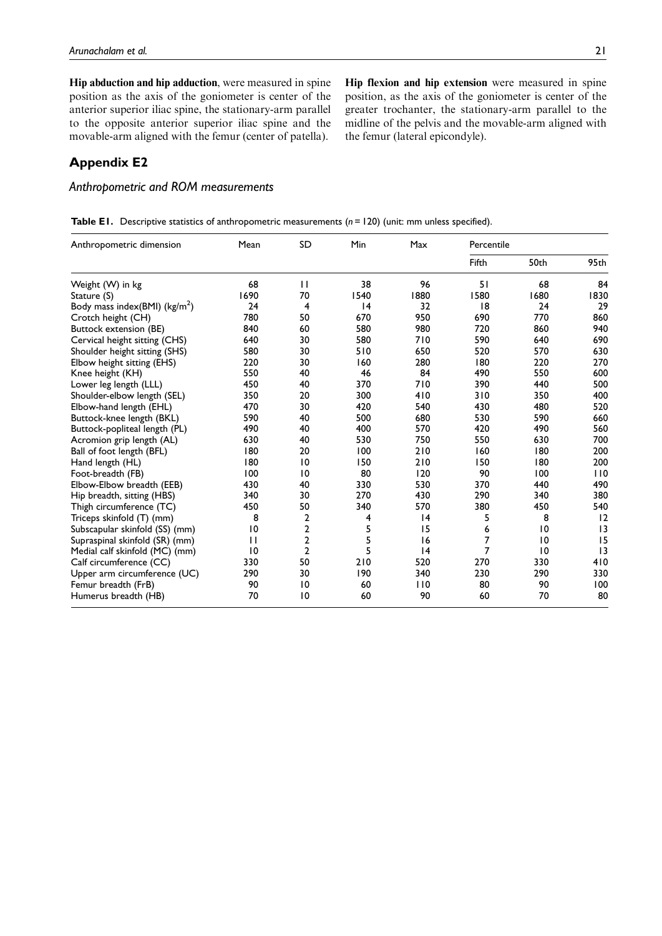Hip abduction and hip adduction, were measured in spine position as the axis of the goniometer is center of the anterior superior iliac spine, the stationary-arm parallel to the opposite anterior superior iliac spine and the movable-arm aligned with the femur (center of patella).

Hip flexion and hip extension were measured in spine position, as the axis of the goniometer is center of the greater trochanter, the stationary-arm parallel to the midline of the pelvis and the movable-arm aligned with the femur (lateral epicondyle).

# Appendix E2

*Anthropometric and ROM measurements*

|  | Table E1. Descriptive statistics of anthropometric measurements ( $n = 120$ ) (unit: mm unless specified). |  |  |  |  |  |
|--|------------------------------------------------------------------------------------------------------------|--|--|--|--|--|
|--|------------------------------------------------------------------------------------------------------------|--|--|--|--|--|

| Anthropometric dimension                  | Mean | SD              | Min  | Max  | Percentile |                |      |
|-------------------------------------------|------|-----------------|------|------|------------|----------------|------|
|                                           |      |                 |      |      | Fifth      | 50th           | 95th |
| Weight (W) in kg                          | 68   | $\mathbf{H}$    | 38   | 96   | 51         | 68             | 84   |
| Stature (S)                               | 1690 | 70              | 1540 | 1880 | 1580       | 1680           | 1830 |
| Body mass index(BMI) (kg/m <sup>2</sup> ) | 24   | 4               | 4    | 32   | 8          | 24             | 29   |
| Crotch height (CH)                        | 780  | 50              | 670  | 950  | 690        | 770            | 860  |
| Buttock extension (BE)                    | 840  | 60              | 580  | 980  | 720        | 860            | 940  |
| Cervical height sitting (CHS)             | 640  | 30              | 580  | 710  | 590        | 640            | 690  |
| Shoulder height sitting (SHS)             | 580  | 30              | 510  | 650  | 520        | 570            | 630  |
| Elbow height sitting (EHS)                | 220  | 30              | 160  | 280  | 180        | 220            | 270  |
| Knee height (KH)                          | 550  | 40              | 46   | 84   | 490        | 550            | 600  |
| Lower leg length (LLL)                    | 450  | 40              | 370  | 710  | 390        | 440            | 500  |
| Shoulder-elbow length (SEL)               | 350  | 20              | 300  | 410  | 310        | 350            | 400  |
| Elbow-hand length (EHL)                   | 470  | 30              | 420  | 540  | 430        | 480            | 520  |
| Buttock-knee length (BKL)                 | 590  | 40              | 500  | 680  | 530        | 590            | 660  |
| Buttock-popliteal length (PL)             | 490  | 40              | 400  | 570  | 420        | 490            | 560  |
| Acromion grip length (AL)                 | 630  | 40              | 530  | 750  | 550        | 630            | 700  |
| Ball of foot length (BFL)                 | 180  | 20              | 100  | 210  | 160        | 180            | 200  |
| Hand length (HL)                          | 180  | $\overline{10}$ | 150  | 210  | 150        | 180            | 200  |
| Foot-breadth (FB)                         | 100  | 10              | 80   | 120  | 90         | 100            | 110  |
| Elbow-Elbow breadth (EEB)                 | 430  | 40              | 330  | 530  | 370        | 440            | 490  |
| Hip breadth, sitting (HBS)                | 340  | 30              | 270  | 430  | 290        | 340            | 380  |
| Thigh circumference (TC)                  | 450  | 50              | 340  | 570  | 380        | 450            | 540  |
| Triceps skinfold (T) (mm)                 | 8    | 2               | 4    | 4    | 5          | 8              | 12   |
| Subscapular skinfold (SS) (mm)            | 10   | 2               | 5    | 15   | 6          | $\overline{0}$ | 3    |
| Supraspinal skinfold (SR) (mm)            | П    | $\overline{2}$  | 5    | 16   | 7          | $\overline{0}$ | 15   |
| Medial calf skinfold (MC) (mm)            | 10   | $\overline{2}$  | 5    | 4    | 7          | 10             | 3    |
| Calf circumference (CC)                   | 330  | 50              | 210  | 520  | 270        | 330            | 410  |
| Upper arm circumference (UC)              | 290  | 30              | 190  | 340  | 230        | 290            | 330  |
| Femur breadth (FrB)                       | 90   | $\overline{10}$ | 60   | 110  | 80         | 90             | 100  |
| Humerus breadth (HB)                      | 70   | 10              | 60   | 90   | 60         | 70             | 80   |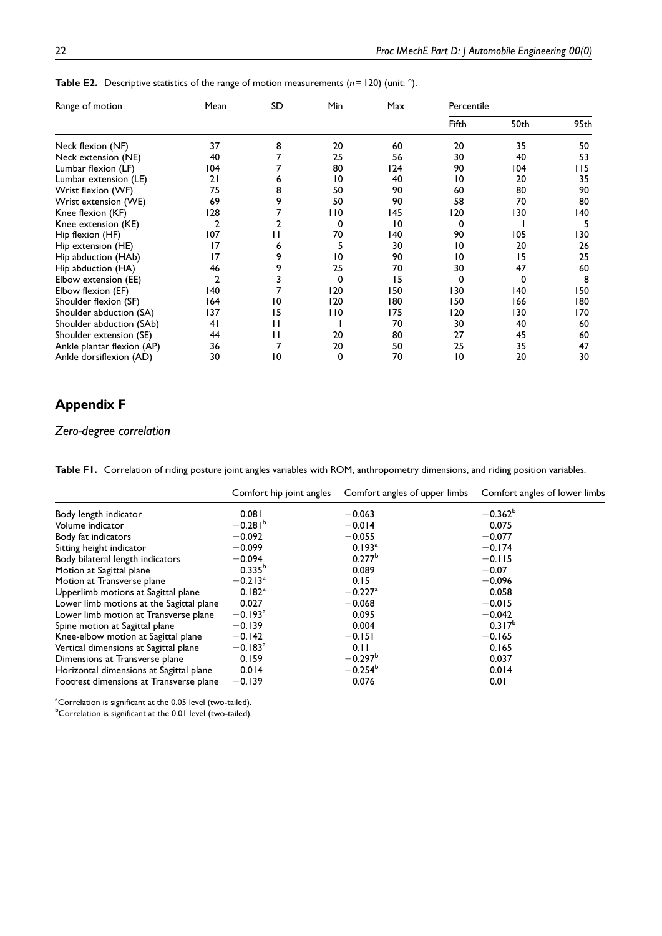| Range of motion            | Mean                    | SD  | <b>Min</b> | Max | Percentile |      |       |
|----------------------------|-------------------------|-----|------------|-----|------------|------|-------|
|                            |                         |     |            |     | Fifth      | 50th | 95th  |
| Neck flexion (NF)          | 37                      | 8   | 20         | 60  | 20         | 35   | 50    |
| Neck extension (NE)        | 40                      |     | 25         | 56  | 30         | 40   | 53    |
| Lumbar flexion (LF)        | 04                      |     | 80         | 124 | 90         | 104  | l I 5 |
| Lumbar extension (LE)      | 21                      | ь   | 10         | 40  | 10         | 20   | 35    |
| Wrist flexion (WF)         | 75                      | 8   | 50         | 90  | 60         | 80   | 90    |
| Wrist extension (WE)       | 69                      | 9   | 50         | 90  | 58         | 70   | 80    |
| Knee flexion (KF)          | 128                     |     | 110        | 145 | 120        | 130  | 140   |
| Knee extension (KE)        | $\overline{\mathbf{2}}$ |     | 0          | 10  | 0          |      | 5     |
| Hip flexion (HF)           | 107                     | l I | 70         | 140 | 90         | 105  | 130   |
| Hip extension (HE)         | 17                      | 6   | 5          | 30  | 10         | 20   | 26    |
| Hip abduction (HAb)        | 17                      | 9   | 10         | 90  | 10         | 15   | 25    |
| Hip abduction (HA)         | 46                      | 9   | 25         | 70  | 30         | 47   | 60    |
| Elbow extension (EE)       | 2                       |     | 0          | 15  | 0          | 0    | 8     |
| Elbow flexion (EF)         | 140                     |     | 120        | 150 | 130        | 140  | 150   |
| Shoulder flexion (SF)      | 164                     | 10  | 120        | 180 | 150        | 166  | 180   |
| Shoulder abduction (SA)    | 137                     | 15  | 110        | 175 | 120        | 130  | 170   |
| Shoulder abduction (SAb)   | 41                      | Н   |            | 70  | 30         | 40   | 60    |
| Shoulder extension (SE)    | 44                      | Н   | 20         | 80  | 27         | 45   | 60    |
| Ankle plantar flexion (AP) | 36                      | 7   | 20         | 50  | 25         | 35   | 47    |
| Ankle dorsiflexion (AD)    | 30                      | 10  | 0          | 70  | 10         | 20   | 30    |

**Table E2.** Descriptive statistics of the range of motion measurements ( $n = 120$ ) (unit:  $\degree$ ).

# Appendix F

### *Zero-degree correlation*

Table F1. Correlation of riding posture joint angles variables with ROM, anthropometry dimensions, and riding position variables.

|                                          | Comfort hip joint angles | Comfort angles of upper limbs | Comfort angles of lower limbs |
|------------------------------------------|--------------------------|-------------------------------|-------------------------------|
| Body length indicator                    | 0.081                    | $-0.063$                      | $-0.362^b$                    |
| Volume indicator                         | $-0.281b$                | $-0.014$                      | 0.075                         |
| Body fat indicators                      | $-0.092$                 | $-0.055$                      | $-0.077$                      |
| Sitting height indicator                 | $-0.099$                 | 0.193 <sup>a</sup>            | $-0.174$                      |
| Body bilateral length indicators         | $-0.094$                 | 0.277 <sup>b</sup>            | $-0.115$                      |
| Motion at Sagittal plane                 | $0.335^{b}$              | 0.089                         | $-0.07$                       |
| Motion at Transverse plane               | $-0.213$ <sup>a</sup>    | 0.15                          | $-0.096$                      |
| Upperlimb motions at Sagittal plane      | $0.182^{a}$              | $-0.227$ <sup>a</sup>         | 0.058                         |
| Lower limb motions at the Sagittal plane | 0.027                    | $-0.068$                      | $-0.015$                      |
| Lower limb motion at Transverse plane    | $-0.193$ <sup>a</sup>    | 0.095                         | $-0.042$                      |
| Spine motion at Sagittal plane           | $-0.139$                 | 0.004                         | $0.317^{b}$                   |
| Knee-elbow motion at Sagittal plane      | $-0.142$                 | $-0.151$                      | $-0.165$                      |
| Vertical dimensions at Sagittal plane    | $-0.183$ <sup>a</sup>    | 0.11                          | 0.165                         |
| Dimensions at Transverse plane           | 0.159                    | $-0.297^b$                    | 0.037                         |
| Horizontal dimensions at Sagittal plane  | 0.014                    | $-0.254^b$                    | 0.014                         |
| Footrest dimensions at Transverse plane  | $-0.139$                 | 0.076                         | 0.01                          |

<sup>a</sup>Correlation is significant at the 0.05 level (two-tailed).

**bCorrelation is significant at the 0.01 level (two-tailed).**